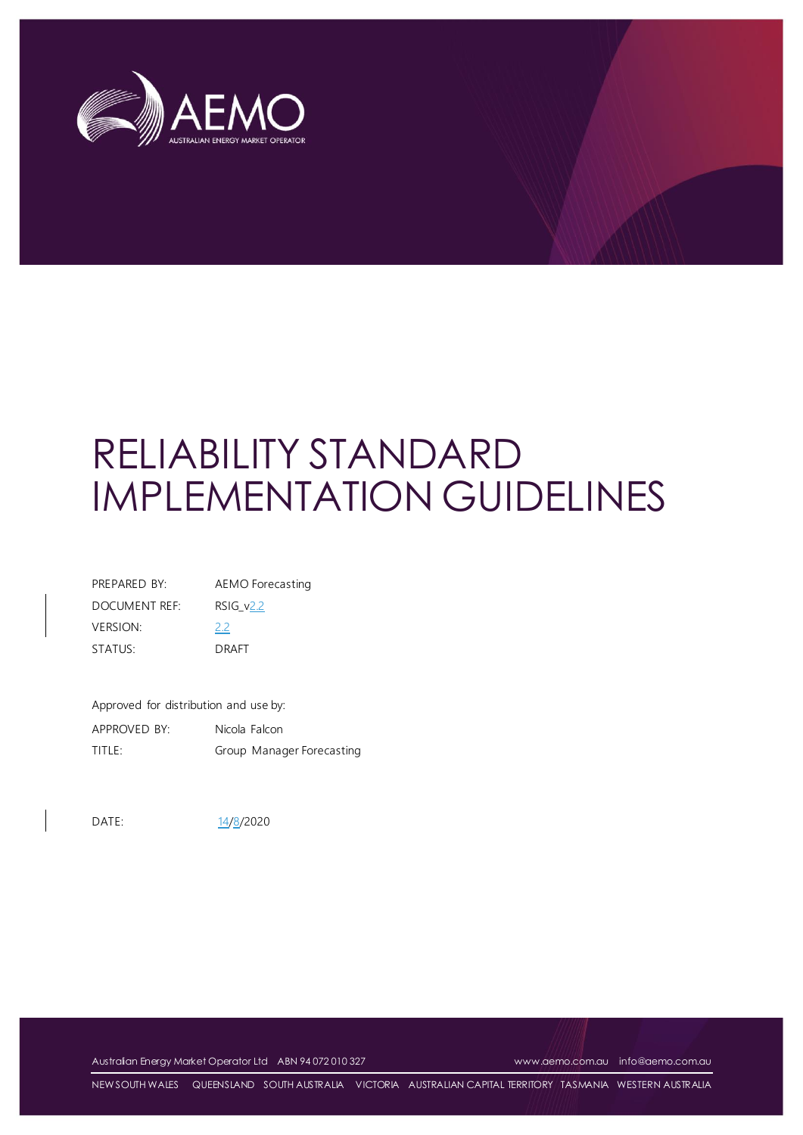

# RELIABILITY STANDARD IMPLEMENTATION GUIDELINES

| PREPARED BY:    | AEMO Forecasting |
|-----------------|------------------|
| DOCUMENT REF:   | $RSIG_v2.2$      |
| <b>VERSION:</b> | 2.2              |
| STATUS:         | DRAFT            |

Approved for distribution and use by:

APPROVED BY: Nicola Falcon TITLE: Group Manager Forecasting

DATE: 14/8/2020

Australian Energy Market Operator Ltd ABN 94 072 010 327 [www.aemo.com.au](http://www.aemo.com.au/) [info@aemo.com.au](mailto:info@aemo.com.au)

NEW SOUTH WALES QUEENSLAND SOUTH AUSTRALIA VICTORIA AUSTRALIAN CAPITAL TERRITORY TASMANIA WESTERN AUSTRALIA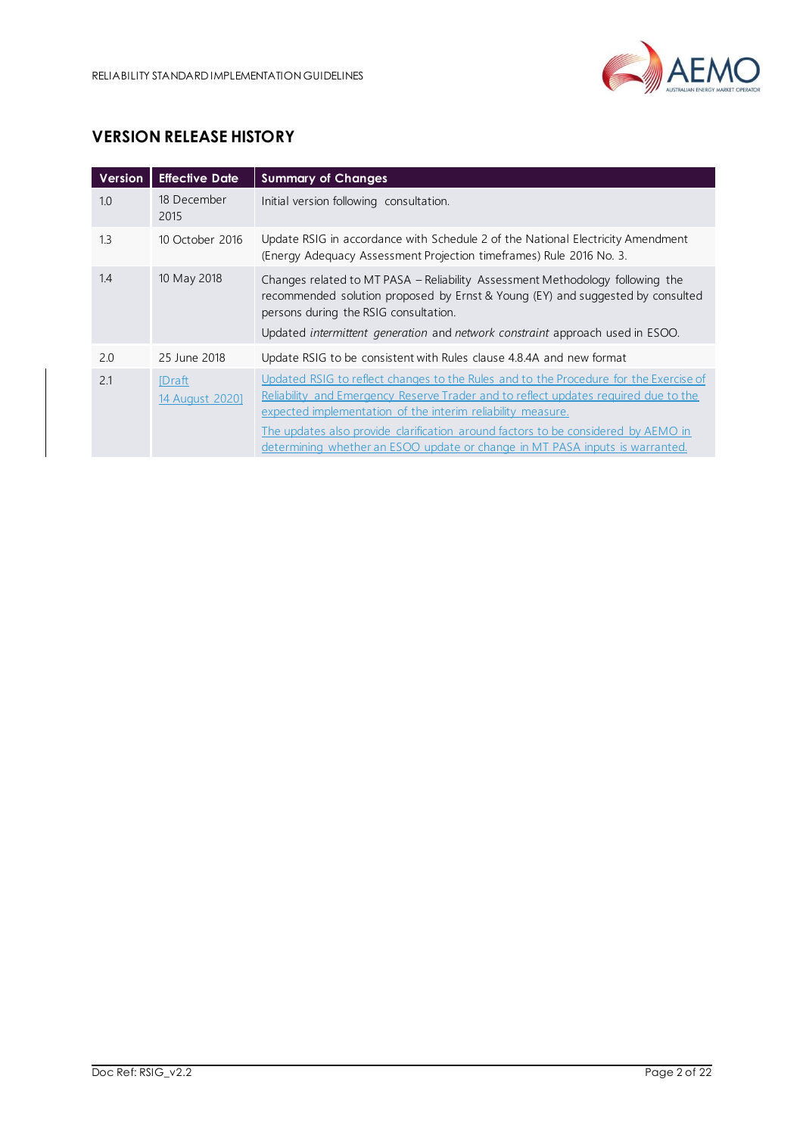

# **VERSION RELEASE HISTORY**

| <b>Version</b> | <b>Effective Date</b>      | <b>Summary of Changes</b>                                                                                                                                                                                                                                                                                                                                                                                        |
|----------------|----------------------------|------------------------------------------------------------------------------------------------------------------------------------------------------------------------------------------------------------------------------------------------------------------------------------------------------------------------------------------------------------------------------------------------------------------|
| 1.0            | 18 December<br>2015        | Initial version following consultation.                                                                                                                                                                                                                                                                                                                                                                          |
| 1.3            | 10 October 2016            | Update RSIG in accordance with Schedule 2 of the National Electricity Amendment<br>(Energy Adequacy Assessment Projection timeframes) Rule 2016 No. 3.                                                                                                                                                                                                                                                           |
| 1.4            | 10 May 2018                | Changes related to MT PASA - Reliability Assessment Methodology following the<br>recommended solution proposed by Ernst & Young (EY) and suggested by consulted<br>persons during the RSIG consultation.<br>Updated intermittent generation and network constraint approach used in ESOO.                                                                                                                        |
| 2.0            | 25 June 2018               | Update RSIG to be consistent with Rules clause 4.8.4A and new format                                                                                                                                                                                                                                                                                                                                             |
| 2.1            | [Draft]<br>14 August 2020] | Updated RSIG to reflect changes to the Rules and to the Procedure for the Exercise of<br>Reliability and Emergency Reserve Trader and to reflect updates required due to the<br>expected implementation of the interim reliability measure.<br>The updates also provide clarification around factors to be considered by AEMO in<br>determining whether an ESOO update or change in MT PASA inputs is warranted. |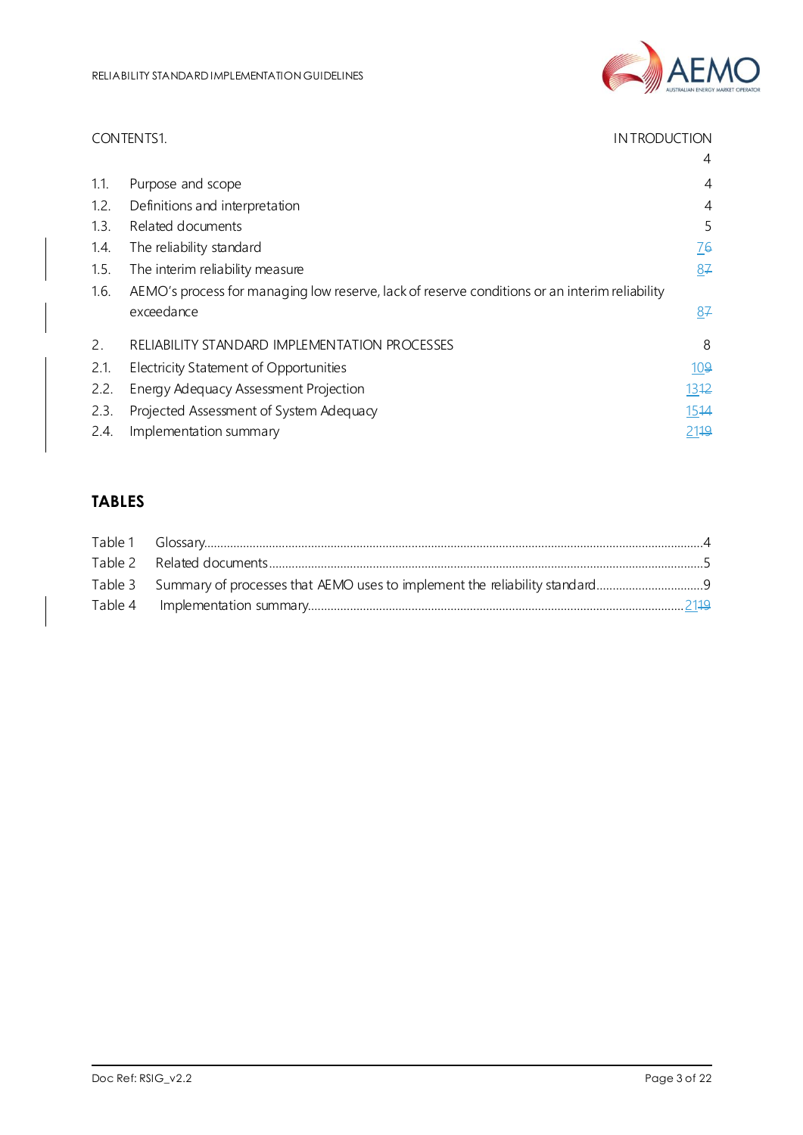

|      | CONTENTS1.<br><b>INTRODUCTION</b>                                                             |            |
|------|-----------------------------------------------------------------------------------------------|------------|
|      |                                                                                               | 4          |
| 1.1. | Purpose and scope                                                                             | 4          |
| 1.2. | Definitions and interpretation                                                                | 4          |
| 1.3. | Related documents                                                                             | 5          |
| 1.4. | The reliability standard                                                                      | 76         |
| 1.5. | The interim reliability measure                                                               | 87         |
| 1.6. | AEMO's process for managing low reserve, lack of reserve conditions or an interim reliability |            |
|      | exceedance                                                                                    | 87         |
| 2.   | RELIABILITY STANDARD IMPLEMENTATION PROCESSES                                                 | 8          |
| 2.1. | Electricity Statement of Opportunities                                                        | <u>109</u> |
| 2.2. | Energy Adequacy Assessment Projection                                                         | 1312       |
| 2.3. | Projected Assessment of System Adequacy                                                       | 1514       |
| 2.4. | Implementation summary                                                                        | 2119       |

# **TABLES**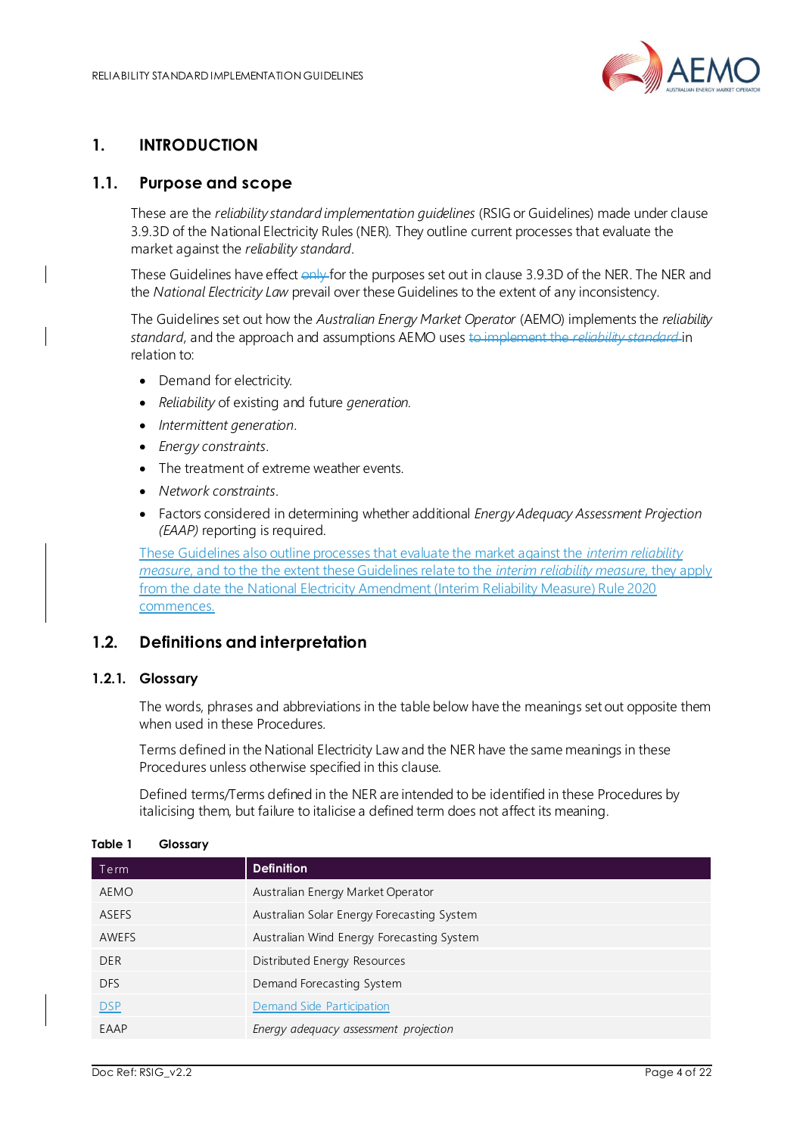

# <span id="page-3-0"></span>**1. INTRODUCTION**

## <span id="page-3-1"></span>**1.1. Purpose and scope**

These are the *reliability standard implementation guidelines* (RSIG or Guidelines) made under clause 3.9.3D of the National Electricity Rules (NER). They outline current processes that evaluate the market against the *reliability standard*.

These Guidelines have effect only for the purposes set out in clause 3.9.3D of the NER. The NER and the *National Electricity Law* prevail over these Guidelines to the extent of any inconsistency.

The Guidelines set out how the *Australian Energy Market Operator* (AEMO) implements the *reliability standard*, and the approach and assumptions AEMO uses to implement the *reliability standard* in relation to:

- Demand for electricity.
- *Reliability* of existing and future *generation.*
- *Intermittent generation*.
- *Energy constraints*.
- The treatment of extreme weather events.
- *Network constraints*.
- Factors considered in determining whether additional *Energy Adequacy Assessment Projection (EAAP)* reporting is required.

These Guidelines also outline processes that evaluate the market against the *interim reliability measure*, and to the the extent these Guidelines relate to the *interim reliability measure*, they apply from the date the National Electricity Amendment (Interim Reliability Measure) Rule 2020 commences.

## <span id="page-3-2"></span>**1.2. Definitions and interpretation**

#### **1.2.1. Glossary**

The words, phrases and abbreviations in the table below have the meanings set out opposite them when used in these Procedures.

Terms defined in the National Electricity Law and the NER have the same meanings in these Procedures unless otherwise specified in this clause.

Defined terms/Terms defined in the NER are intended to be identified in these Procedures by italicising them, but failure to italicise a defined term does not affect its meaning.

| Term       | <b>Definition</b>                          |
|------------|--------------------------------------------|
| AEMO       | Australian Energy Market Operator          |
| ASEFS      | Australian Solar Energy Forecasting System |
| AWEFS      | Australian Wind Energy Forecasting System  |
| <b>DER</b> | Distributed Energy Resources               |
| <b>DFS</b> | Demand Forecasting System                  |
| <b>DSP</b> | Demand Side Participation                  |
| EAAP       | Energy adequacy assessment projection      |

#### <span id="page-3-3"></span>**Table 1 Glossary**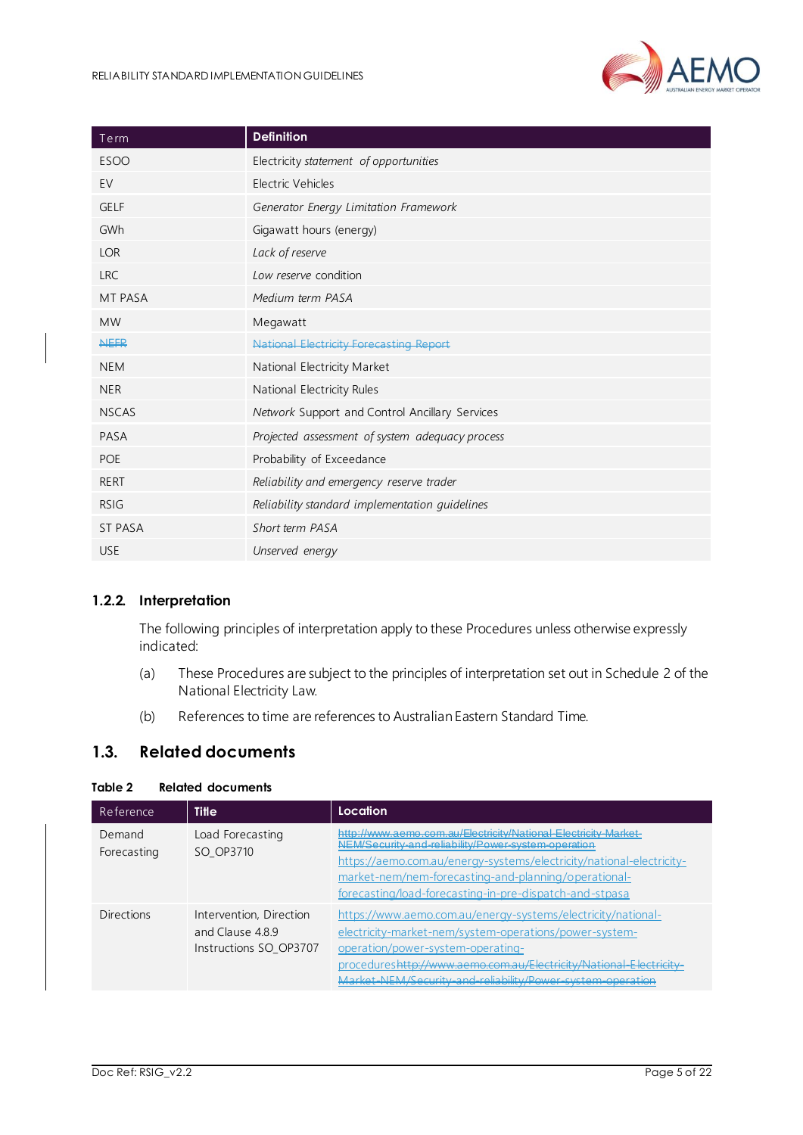

| Term           | <b>Definition</b>                               |
|----------------|-------------------------------------------------|
| <b>ESOO</b>    | Electricity statement of opportunities          |
| EV             | Electric Vehicles                               |
| <b>GELF</b>    | Generator Energy Limitation Framework           |
| GWh            | Gigawatt hours (energy)                         |
| <b>LOR</b>     | Lack of reserve                                 |
| <b>LRC</b>     | Low reserve condition                           |
| <b>MT PASA</b> | Medium term PASA                                |
| <b>MW</b>      | Megawatt                                        |
| <b>NEFR</b>    | <b>National Electricity Forecasting Report</b>  |
| <b>NEM</b>     | National Electricity Market                     |
| <b>NER</b>     | National Electricity Rules                      |
| <b>NSCAS</b>   | Network Support and Control Ancillary Services  |
| PASA           | Projected assessment of system adequacy process |
| <b>POE</b>     | Probability of Exceedance                       |
| <b>RERT</b>    | Reliability and emergency reserve trader        |
| <b>RSIG</b>    | Reliability standard implementation quidelines  |
| <b>ST PASA</b> | Short term PASA                                 |
| <b>USE</b>     | Unserved energy                                 |

#### **1.2.2. Interpretation**

The following principles of interpretation apply to these Procedures unless otherwise expressly indicated:

- (a) These Procedures are subject to the principles of interpretation set out in Schedule 2 of the National Electricity Law.
- (b) References to time are references to Australian Eastern Standard Time.

#### <span id="page-4-0"></span>**1.3. Related documents**

#### <span id="page-4-1"></span>**Table 2 Related documents**

| Reference             | <b>Title</b>                                                        | Location                                                                                                                                                                                                                                                                                                          |
|-----------------------|---------------------------------------------------------------------|-------------------------------------------------------------------------------------------------------------------------------------------------------------------------------------------------------------------------------------------------------------------------------------------------------------------|
| Demand<br>Forecasting | Load Forecasting<br>SO OP3710                                       | http://www.aeme.com.au/Electricity/National-Electricity-Market-<br>NEM/Security and reliability/Power system operation<br>https://aemo.com.au/energy-systems/electricity/national-electricity-<br>market-nem/nem-forecasting-and-planning/operational-<br>forecasting/load-forecasting-in-pre-dispatch-and-stpasa |
| Directions            | Intervention, Direction<br>and Clause 489<br>Instructions SO OP3707 | https://www.aemo.com.au/energy-systems/electricity/national-<br>electricity-market-nem/system-operations/power-system-<br>operation/power-system-operating-<br>procedures <del>http://www.aemo.com.au/Electricity/National-Electricity</del><br>Market-NEM/Security-and-reliability/Power-system-operation        |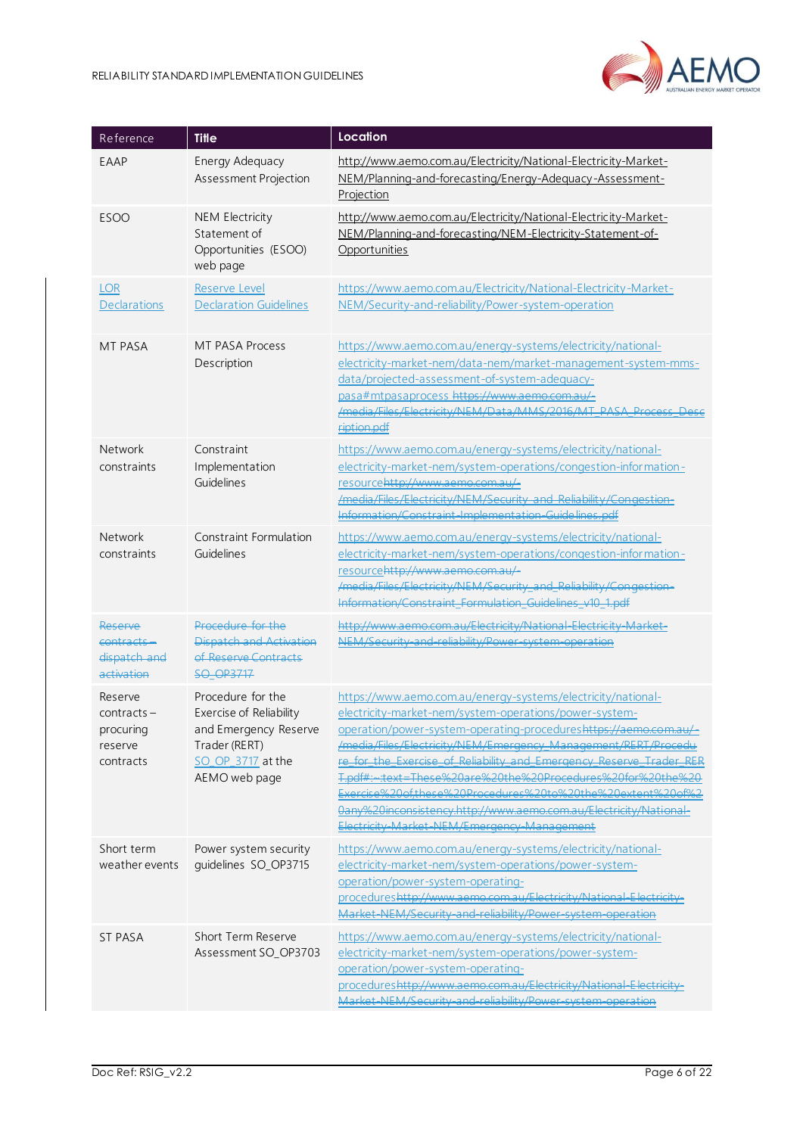

| Reference                                                     | <b>Title</b>                                                                                                                 | Location                                                                                                                                                                                                                                                                                                                                                                                                                                                                                                                                                                                       |
|---------------------------------------------------------------|------------------------------------------------------------------------------------------------------------------------------|------------------------------------------------------------------------------------------------------------------------------------------------------------------------------------------------------------------------------------------------------------------------------------------------------------------------------------------------------------------------------------------------------------------------------------------------------------------------------------------------------------------------------------------------------------------------------------------------|
| EAAP                                                          | Energy Adequacy<br>Assessment Projection                                                                                     | http://www.aemo.com.au/Electricity/National-Electricity-Market-<br>NEM/Planning-and-forecasting/Energy-Adequacy-Assessment-<br>Projection                                                                                                                                                                                                                                                                                                                                                                                                                                                      |
| <b>ESOO</b>                                                   | <b>NEM Electricity</b><br>Statement of<br>Opportunities (ESOO)<br>web page                                                   | http://www.aemo.com.au/Electricity/National-Electricity-Market-<br>NEM/Planning-and-forecasting/NEM-Electricity-Statement-of-<br>Opportunities                                                                                                                                                                                                                                                                                                                                                                                                                                                 |
| <b>LOR</b><br>Declarations                                    | <b>Reserve Level</b><br><b>Declaration Guidelines</b>                                                                        | https://www.aemo.com.au/Electricity/National-Electricity-Market-<br>NEM/Security-and-reliability/Power-system-operation                                                                                                                                                                                                                                                                                                                                                                                                                                                                        |
| <b>MT PASA</b>                                                | MT PASA Process<br>Description                                                                                               | https://www.aemo.com.au/energy-systems/electricity/national-<br>electricity-market-nem/data-nem/market-management-system-mms-<br>data/projected-assessment-of-system-adequacy-<br>pasa#mtpasaprocess https://www.aemo.com.au/-<br>/media/Files/Electricity/NEM/Data/MMS/2016/MT_PASA_Process_Desc<br>ription.pdf                                                                                                                                                                                                                                                                               |
| Network<br>constraints                                        | Constraint<br>Implementation<br>Guidelines                                                                                   | https://www.aemo.com.au/energy-systems/electricity/national-<br>electricity-market-nem/system-operations/congestion-information-<br>resourcehttp://www.aemo.com.au/-<br>/media/Files/Electricity/NEM/Security and Reliability/Congestion-<br>Information/Constraint-Implementation-Guidelines.pdf                                                                                                                                                                                                                                                                                              |
| Network<br>constraints                                        | Constraint Formulation<br>Guidelines                                                                                         | https://www.aemo.com.au/energy-systems/electricity/national-<br>electricity-market-nem/system-operations/congestion-information-<br>resourcehttp://www.aemo.com.au/-<br>/media/Files/Electricity/NEM/Security_and_Reliability/Congestion-<br>Information/Constraint Formulation_Guidelines_v10_1.pdf                                                                                                                                                                                                                                                                                           |
| Reserve<br>contracts -<br>dispatch and<br>activation          | Procedure for the<br>Dispatch and Activation<br>of Reserve Contracts<br><b>SQ OP3717</b>                                     | http://www.aemo.com.au/Electricity/National-Electricity-Market-<br>NEM/Security-and-reliability/Power-system-operation                                                                                                                                                                                                                                                                                                                                                                                                                                                                         |
| Reserve<br>$contracts -$<br>procuring<br>reserve<br>contracts | Procedure for the<br>Exercise of Reliability<br>and Emergency Reserve<br>Trader (RERT)<br>SO OP 3717 at the<br>AEMO web page | https://www.aemo.com.au/energy-systems/electricity/national-<br>electricity-market-nem/system-operations/power-system-<br>operation/power-system-operating-procedureshttps://aemo.com.au/<br>/media/Files/Electricity/NEM/Emergency_Management/RERT/Procedu<br>re for the Exercise of Reliability and Emergency Reserve Trader RER<br><del>Indf#: +:rxt=These%20are%20the%20Procedures%20for%20the%20</del><br>Exercise%20of.these%20Procedures%20to%20the%20extent%20of%2<br>0any%20inconsistency.http://www.aemo.com.au/Electricity/National-<br>Electricity-Market-NEM/Emergency-Management |
| Short term<br>weather events                                  | Power system security<br>guidelines SO_OP3715                                                                                | https://www.aemo.com.au/energy-systems/electricity/national-<br>electricity-market-nem/system-operations/power-system-<br>operation/power-system-operating-<br>procedureshttp://www.aemo.com.au/Electricity/National-Electrici<br>Market-NEM/Security-and-reliability/Power-system-operation                                                                                                                                                                                                                                                                                                   |
| <b>ST PASA</b>                                                | Short Term Reserve<br>Assessment SO_OP3703                                                                                   | https://www.aemo.com.au/energy-systems/electricity/national-<br>electricity-market-nem/system-operations/power-system-<br>operation/power-system-operating-<br>procedureshttp://www.aemo.com.au/Electricity/National-Electricity-<br>Market-NEM/Security-and-reliability/Power-system-operation                                                                                                                                                                                                                                                                                                |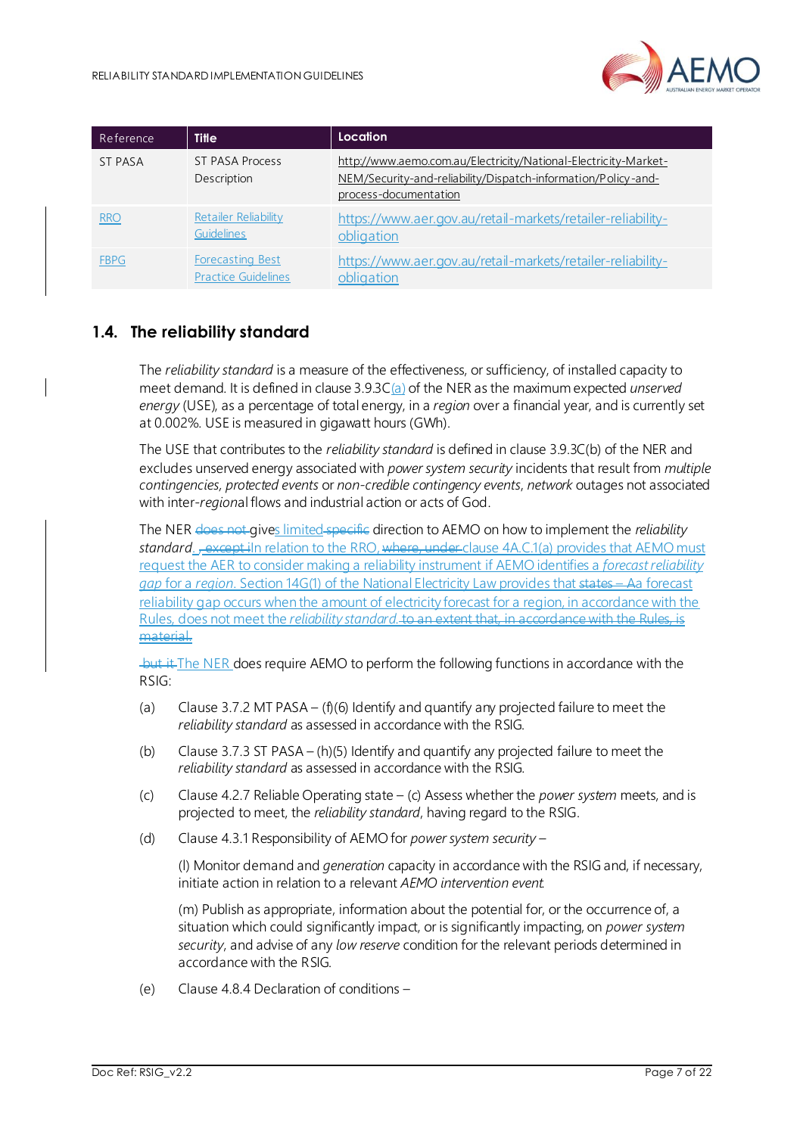

| Reference      | <b>Title</b>                                          | Location                                                                                                                                                  |
|----------------|-------------------------------------------------------|-----------------------------------------------------------------------------------------------------------------------------------------------------------|
| <b>ST PASA</b> | <b>ST PASA Process</b><br>Description                 | http://www.aemo.com.au/Electricity/National-Electricity-Market-<br>NEM/Security-and-reliability/Dispatch-information/Policy-and-<br>process-documentation |
| <b>RRO</b>     | Retailer Reliability<br><b>Guidelines</b>             | https://www.aer.gov.au/retail-markets/retailer-reliability-<br>obligation                                                                                 |
| <b>FBPG</b>    | <b>Forecasting Best</b><br><b>Practice Guidelines</b> | https://www.aer.gov.au/retail-markets/retailer-reliability-<br>obligation                                                                                 |

## <span id="page-6-0"></span>**1.4. The reliability standard**

The *reliability standard* is a measure of the effectiveness, or sufficiency, of installed capacity to meet demand. It is defined in clause 3.9.3C(a) of the NER as the maximum expected *unserved energy* (USE), as a percentage of total energy, in a *region* over a financial year, and is currently set at 0.002%. USE is measured in gigawatt hours (GWh).

The USE that contributes to the *reliability standard* is defined in clause 3.9.3C(b) of the NER and excludes unserved energy associated with *power system security* incidents that result from *multiple contingencies, protected events* or *non-credible contingency events*, *network* outages not associated with inter-*region*al flows and industrial action or acts of God.

The NER does not gives limited specific direction to AEMO on how to implement the *reliability standard*. <del>, except i</del>In relation to the RRO, where, under clause 4A.C.1(a) provides that AEMO must request the AER to consider making a reliability instrument if AEMO identifies a *forecast reliability gap* for a *region*. Section 14G(1) of the National Electricity Law provides that states – Aa forecast reliability gap occurs when the amount of electricity forecast for a region, in accordance with the Rules, does not meet the *reliability standard*. to an extent that, in accordance with the Rules, is material.

 $-b$ ut it The NER does require AEMO to perform the following functions in accordance with the RSIG:

- (a) Clause 3.7.2 MT PASA (f)(6) Identify and quantify any projected failure to meet the *reliability standard* as assessed in accordance with the RSIG.
- (b) Clause 3.7.3 ST PASA (h)(5) Identify and quantify any projected failure to meet the *reliability standard* as assessed in accordance with the RSIG.
- (c) Clause 4.2.7 Reliable Operating state (c) Assess whether the *power system* meets, and is projected to meet, the *reliability standard*, having regard to the RSIG.
- (d) Clause 4.3.1 Responsibility of AEMO for *power system security* –

(l) Monitor demand and *generation* capacity in accordance with the RSIG and, if necessary, initiate action in relation to a relevant *AEMO intervention event.*

(m) Publish as appropriate, information about the potential for, or the occurrence of, a situation which could significantly impact, or is significantly impacting, on *power system security*, and advise of any *low reserve* condition for the relevant periods determined in accordance with the RSIG.

(e) Clause 4.8.4 Declaration of conditions –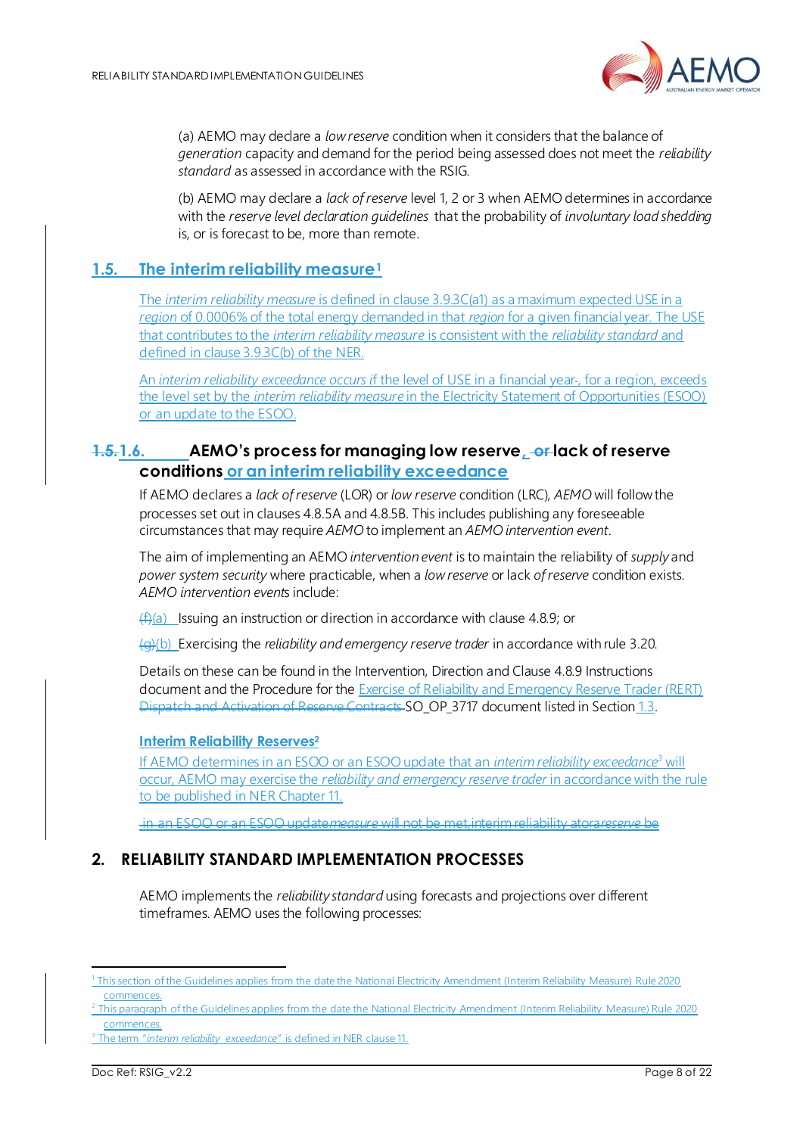

(a) AEMO may declare a *low reserve* condition when it considers that the balance of *generation* capacity and demand for the period being assessed does not meet the *reliability standard* as assessed in accordance with the RSIG.

(b) AEMO may declare a *lack of reserve* level 1, 2 or 3 when AEMO determines in accordance with the *reserve level declaration guidelines* that the probability of *involuntary load shedding* is, or is forecast to be, more than remote.

## <span id="page-7-0"></span>**1.5. The interim reliability measure<sup>1</sup>**

The *interim reliability measure* is defined in clause 3.9.3C(a1) as a maximum expected USE in a *region* of 0.0006% of the total energy demanded in that *region* for a given financial year. The USE that contributes to the *interim reliability measure* is consistent with the *reliability standard* and defined in clause 3.9.3C(b) of the NER.

An *interim reliability exceedance occurs i*f the level of USE in a financial year , for a region, exceeds the level set by the *interim reliability measure* in the Electricity Statement of Opportunities (ESOO) or an update to the ESOO.

## <span id="page-7-1"></span>**1.5.1.6. AEMO's process for managing low reserve, or lack of reserve conditions or an interim reliability exceedance**

If AEMO declares a *lack of reserve* (LOR) or *low reserve* condition (LRC), *AEMO* will follow the processes set out in clauses 4.8.5A and 4.8.5B. This includes publishing any foreseeable circumstances that may require *AEMO* to implement an *AEMO intervention event*.

The aim of implementing an AEMO *intervention event* is to maintain the reliability of *supply* and *power system security* where practicable, when a *low reserve* or lack *of reserve* condition exists. *AEMO intervention event*s include:

 $(f)(a)$  Issuing an instruction or direction in accordance with clause 4.8.9; or

(g)(b) Exercising the *reliability and emergency reserve trader* in accordance with rule 3.20.

Details on these can be found in the Intervention, Direction and Clause 4.8.9 Instructions document and the Procedure for the Exercise of Reliability and Emergency Reserve Trader (RERT) Dispatch and Activation of Reserve Contracts SO\_OP\_3717 document listed in Section [1.3](#page-4-0).

#### **Interim Reliability Reserves<sup>2</sup>**

If AEMO determines in an ESOO or an ESOO update that an *interim reliability exceedance <sup>3</sup>* will occur, AEMO may exercise the *reliability and emergency reserve trader* in accordance with the rule to be published in NER Chapter 11.

in an ESOO or an ESOO update*measure* will not be met*,*interim reliability atora*reserve* be

## <span id="page-7-2"></span>**2. RELIABILITY STANDARD IMPLEMENTATION PROCESSES**

AEMO implements the *reliability standard* using forecasts and projections over different timeframes. AEMO uses the following processes:

<sup>1</sup> This section of the Guidelines applies from the date the National Electricity Amendment (Interim Reliability Measure) Rule 2020 commences.

<sup>&</sup>lt;sup>2</sup> This paragraph of the Guidelines applies from the date the National Electricity Amendment (Interim Reliability Measure) Rule 2020 commences.

The term "*interim reliability exceedance*" is defined in NER clause 11.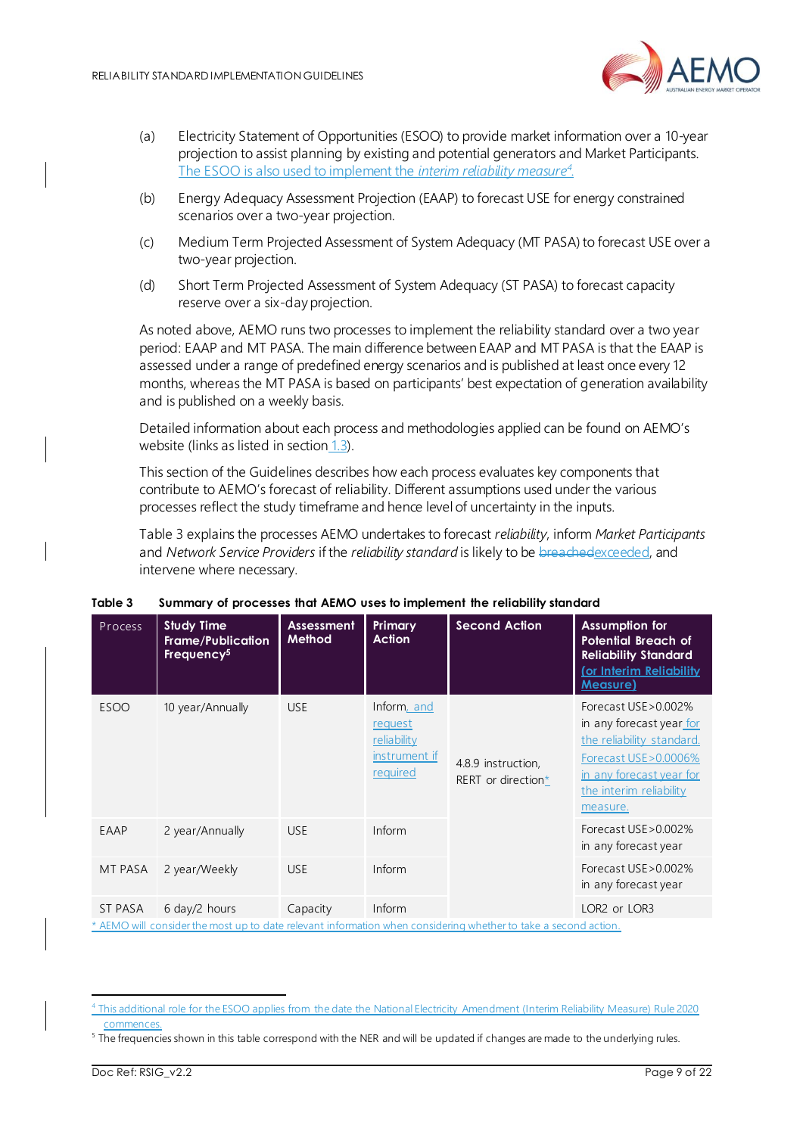

- (a) Electricity Statement of Opportunities (ESOO) to provide market information over a 10-year projection to assist planning by existing and potential generators and Market Participants. The ESOO is also used to implement the *interim reliability measure<sup>4</sup> .*
- (b) Energy Adequacy Assessment Projection (EAAP) to forecast USE for energy constrained scenarios over a two-year projection.
- (c) Medium Term Projected Assessment of System Adequacy (MT PASA) to forecast USE over a two-year projection.
- (d) Short Term Projected Assessment of System Adequacy (ST PASA) to forecast capacity reserve over a six-day projection.

As noted above, AEMO runs two processes to implement the reliability standard over a two year period: EAAP and MT PASA. The main difference between EAAP and MT PASA is that the EAAP is assessed under a range of predefined energy scenarios and is published at least once every 12 months, whereas the MT PASA is based on participants' best expectation of generation availability and is published on a weekly basis.

Detailed information about each process and methodologies applied can be found on AEMO's website (links as listed in section  $1.3$ ).

This section of the Guidelines describes how each process evaluates key components that contribute to AEMO's forecast of reliability. Different assumptions used under the various processes reflect the study timeframe and hence level of uncertainty in the inputs.

[Table 3](#page-8-0) explains the processes AEMO undertakes to forecast *reliability*, inform *Market Participants* and *Network Service Providers* if the *reliability standard* is likely to be breachedexceeded, and intervene where necessary.

| Process                                                                  | <b>Study Time</b><br>Frame/Publication<br>Frequency <sup>5</sup>                                                                                                                                                                                  | <b>Assessment</b><br>Method | Primary<br><b>Action</b>                                           | <b>Second Action</b>                     | <b>Assumption for</b><br><b>Potential Breach of</b><br><b>Reliability Standard</b><br><u>(or Interim Reliability</u><br><b>Measure)</b>                                     |
|--------------------------------------------------------------------------|---------------------------------------------------------------------------------------------------------------------------------------------------------------------------------------------------------------------------------------------------|-----------------------------|--------------------------------------------------------------------|------------------------------------------|-----------------------------------------------------------------------------------------------------------------------------------------------------------------------------|
| <b>ESOO</b>                                                              | 10 year/Annually                                                                                                                                                                                                                                  | <b>USE</b>                  | Inform, and<br>request<br>reliability<br>instrument if<br>required | 4.8.9 instruction,<br>RERT or direction* | Forecast USE > 0.002%<br>in any forecast year for<br>the reliability standard.<br>Forecast USE > 0.0006%<br>in any forecast year for<br>the interim reliability<br>measure. |
| EAAP                                                                     | 2 year/Annually                                                                                                                                                                                                                                   | <b>USE</b>                  | Inform                                                             |                                          | Forecast USE > 0.002%<br>in any forecast year                                                                                                                               |
| MT PASA                                                                  | 2 year/Weekly                                                                                                                                                                                                                                     | <b>USE</b>                  | Inform                                                             |                                          | Forecast USE > 0.002%<br>in any forecast year                                                                                                                               |
| ST PASA<br>$\lambda$ $\sim$ $\lambda$ $\sim$ $\sim$ $\sim$ $\sim$ $\sim$ | $6$ day/2 hours<br>the contract of the contract of the contract of the contract of the contract of the contract of the contract of the contract of the contract of the contract of the contract of the contract of the contract of the contract o | Capacity                    | Inform<br><b>Contract Contract</b>                                 |                                          | LOR2 or LOR3<br><b>State State</b>                                                                                                                                          |

#### <span id="page-8-0"></span>**Table 3 Summary of processes that AEMO uses to implement the reliability standard**

AEMO will consider the most up to date relevant information when considering whether to take a second action.

<sup>4</sup> This additional role for the ESOO applies from the date the National Electricity Amendment (Interim Reliability Measure) Rule 2020 commences.

<sup>&</sup>lt;sup>5</sup> The frequencies shown in this table correspond with the NER and will be updated if changes are made to the underlying rules.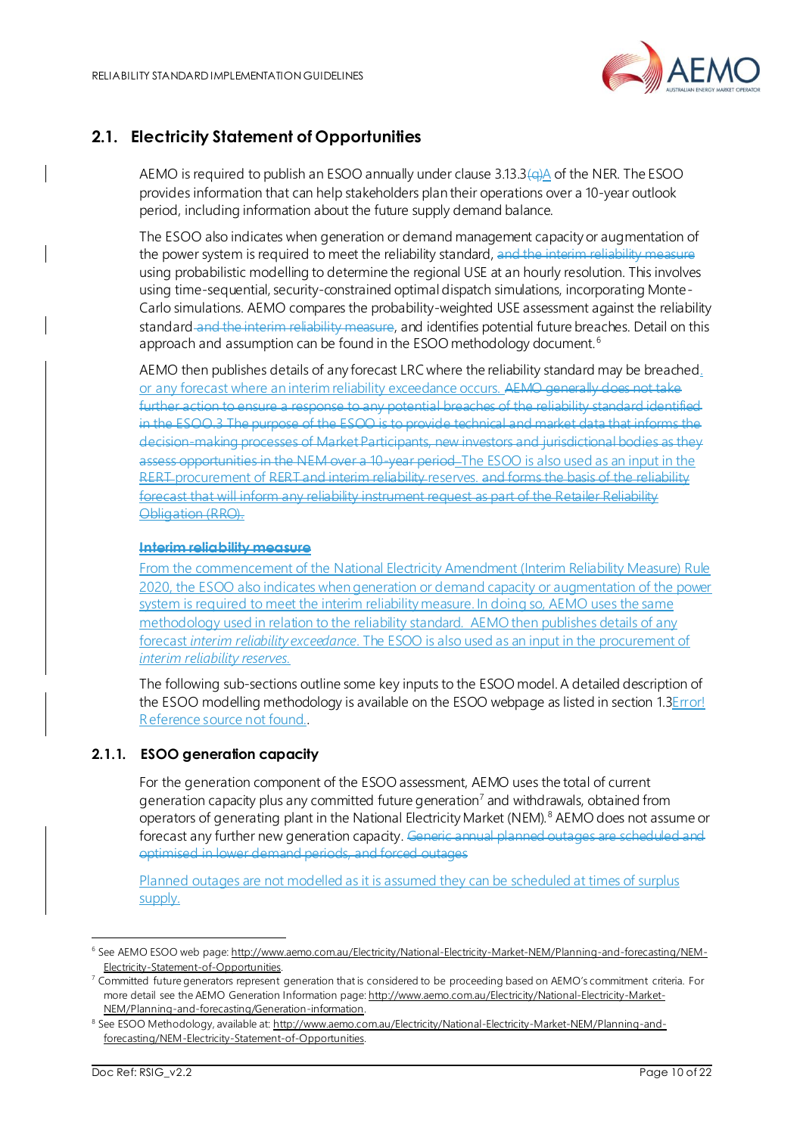

# <span id="page-9-0"></span>**2.1. Electricity Statement of Opportunities**

AEMO is required to publish an ESOO annually under clause 3.13.3(a)A of the NER. The ESOO provides information that can help stakeholders plan their operations over a 10-year outlook period, including information about the future supply demand balance.

The ESOO also indicates when generation or demand management capacity or augmentation of the power system is required to meet the reliability standard, and the interim reliability measure using probabilistic modelling to determine the regional USE at an hourly resolution. This involves using time-sequential, security-constrained optimal dispatch simulations, incorporating Monte-Carlo simulations. AEMO compares the probability-weighted USE assessment against the reliability standard and the interim reliability measure, and identifies potential future breaches. Detail on this approach and assumption can be found in the ESOO methodology document.<sup>6</sup>

AEMO then publishes details of any forecast LRC where the reliability standard may be breached. or any forecast where an interim reliability exceedance occurs. AEMO generally does not take further action to ensure a response to any potential breaches of the reliability standard identified in the ESOO.3 The purpose of the ESOO is to provide technical and market data that informs the decision-making processes of Market Participants, new investors and jurisdictional bodies as they assess opportunities in the NEM over a 10-year period\_The ESOO is also used as an input in the RERT procurement of RERT and interim reliability reserves. and forms the basis forecast that will inform any reliability instrument request as part of the Retailer Reliability Obligation (RRO).

#### **Interim reliability measure**

From the commencement of the National Electricity Amendment (Interim Reliability Measure) Rule 2020, the ESOO also indicates when generation or demand capacity or augmentation of the power system is required to meet the interim reliability measure. In doing so, AEMO uses the same methodology used in relation to the reliability standard. AEMO then publishes details of any forecast *interim reliability exceedance*. The ESOO is also used as an input in the procurement of *interim reliability reserves.*

The following sub-sections outline some key inputs to the ESOO model. A detailed description of the ESOO modelling methodology is available on the ESOO webpage as listed in sectio[n 1.3](#page-4-0)Error! Reference source not found..

#### **2.1.1. ESOO generation capacity**

For the generation component of the ESOO assessment, AEMO uses the total of current generation capacity plus any committed future generation<sup>7</sup> and withdrawals, obtained from operators of generating plant in the National Electricity Market (NEM).<sup>8</sup> AEMO does not assume or forecast any further new generation capacity. Generic annual planned outages are scheduled and optimised in lower demand periods, and forced outages

Planned outages are not modelled as it is assumed they can be scheduled at times of surplus supply.

<sup>&</sup>lt;sup>6</sup> See AEMO ESOO web page: [http://www.aemo.com.au/Electricity/National-Electricity-Market-NEM/Planning-and-forecasting/NEM-](http://www.aemo.com.au/Electricity/National-Electricity-Market-NEM/Planning-and-forecasting/NEM-Electricity-Statement-of-Opportunities)[Electricity-Statement-of-Opportunities.](http://www.aemo.com.au/Electricity/National-Electricity-Market-NEM/Planning-and-forecasting/NEM-Electricity-Statement-of-Opportunities)

<sup>7</sup> Committed future generators represent generation that is considered to be proceeding based on AEMO's commitment criteria. For more detail see the AEMO Generation Information page[: http://www.aemo.com.au/Electricity/National-Electricity-Market-](http://www.aemo.com.au/Electricity/National-Electricity-Market-NEM/Planning-and-forecasting/Generation-information)[NEM/Planning-and-forecasting/Generation-information.](http://www.aemo.com.au/Electricity/National-Electricity-Market-NEM/Planning-and-forecasting/Generation-information)

<sup>&</sup>lt;sup>8</sup> See ESOO Methodology, available at[: http://www.aemo.com.au/Electricity/National-Electricity-Market-NEM/Planning-and](http://www.aemo.com.au/Electricity/National-Electricity-Market-NEM/Planning-and-forecasting/NEM-Electricity-Statement-of-Opportunities)[forecasting/NEM-Electricity-Statement-of-Opportunities.](http://www.aemo.com.au/Electricity/National-Electricity-Market-NEM/Planning-and-forecasting/NEM-Electricity-Statement-of-Opportunities)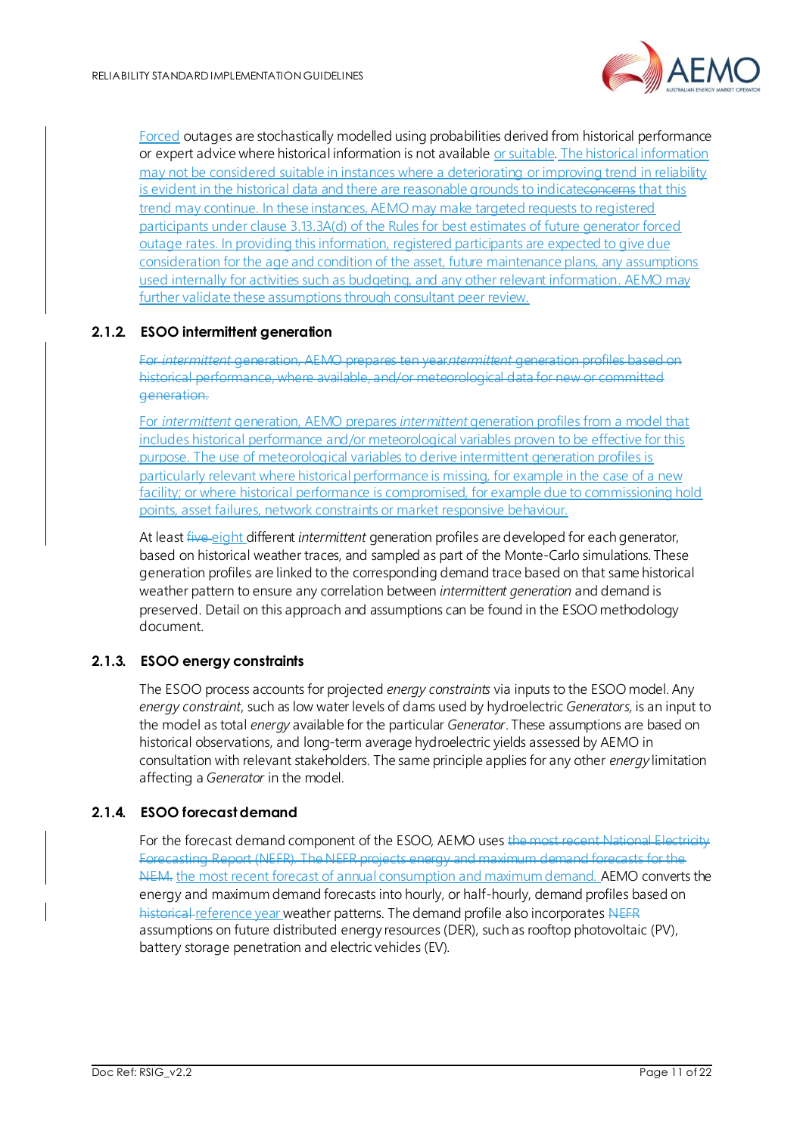

Forced outages are stochastically modelled using probabilities derived from historical performance or expert advice where historical information is not available or suitable. The historical information may not be considered suitable in instances where a deteriorating or improving trend in reliability is evident in the historical data and there are reasonable grounds to indicateconcerns that this trend may continue. In these instances, AEMO may make targeted requests to registered participants under clause 3.13.3A(d) of the Rules for best estimates of future generator forced outage rates. In providing this information, registered participants are expected to give due consideration for the age and condition of the asset, future maintenance plans, any assumptions used internally for activities such as budgeting, and any other relevant information. AEMO may further validate these assumptions through consultant peer review.

#### **2.1.2. ESOO intermittent generation**

For *intermittent* generation, AEMO prepares ten year*intermittent* generation profiles based on historical performance, where available, and/or meteorological data for new or committed generation.

For *intermittent* generation, AEMO prepares *intermittent* generation profiles from a model that includes historical performance and/or meteorological variables proven to be effective for this purpose. The use of meteorological variables to derive intermittent generation profiles is particularly relevant where historical performance is missing, for example in the case of a new facility; or where historical performance is compromised, for example due to commissioning hold points, asset failures, network constraints or market responsive behaviour.

At least five eight different *intermittent* generation profiles are developed for each generator, based on historical weather traces, and sampled as part of the Monte-Carlo simulations. These generation profiles are linked to the corresponding demand trace based on that same historical weather pattern to ensure any correlation between *intermittent generation* and demand is preserved. Detail on this approach and assumptions can be found in the ESOO methodology document.

#### **2.1.3. ESOO energy constraints**

The ESOO process accounts for projected *energy constraints* via inputs to the ESOO model. Any *energy constraint*, such as low water levels of dams used by hydroelectric *Generators,* is an input to the model as total *energy* available for the particular *Generator*. These assumptions are based on historical observations, and long-term average hydroelectric yields assessed by AEMO in consultation with relevant stakeholders. The same principle applies for any other *energy* limitation affecting a *Generator* in the model.

#### <span id="page-10-0"></span>**2.1.4. ESOO forecast demand**

For the forecast demand component of the ESOO, AEMO uses the most recent National Electricity Forecasting Report (NEFR). The NEFR projects energy and maximum demand forecasts for the NEM. the most recent forecast of annual consumption and maximum demand. AEMO converts the energy and maximum demand forecasts into hourly, or half-hourly, demand profiles based on historical reference year weather patterns. The demand profile also incorporates NEFR assumptions on future distributed energy resources (DER), such as rooftop photovoltaic (PV), battery storage penetration and electric vehicles (EV).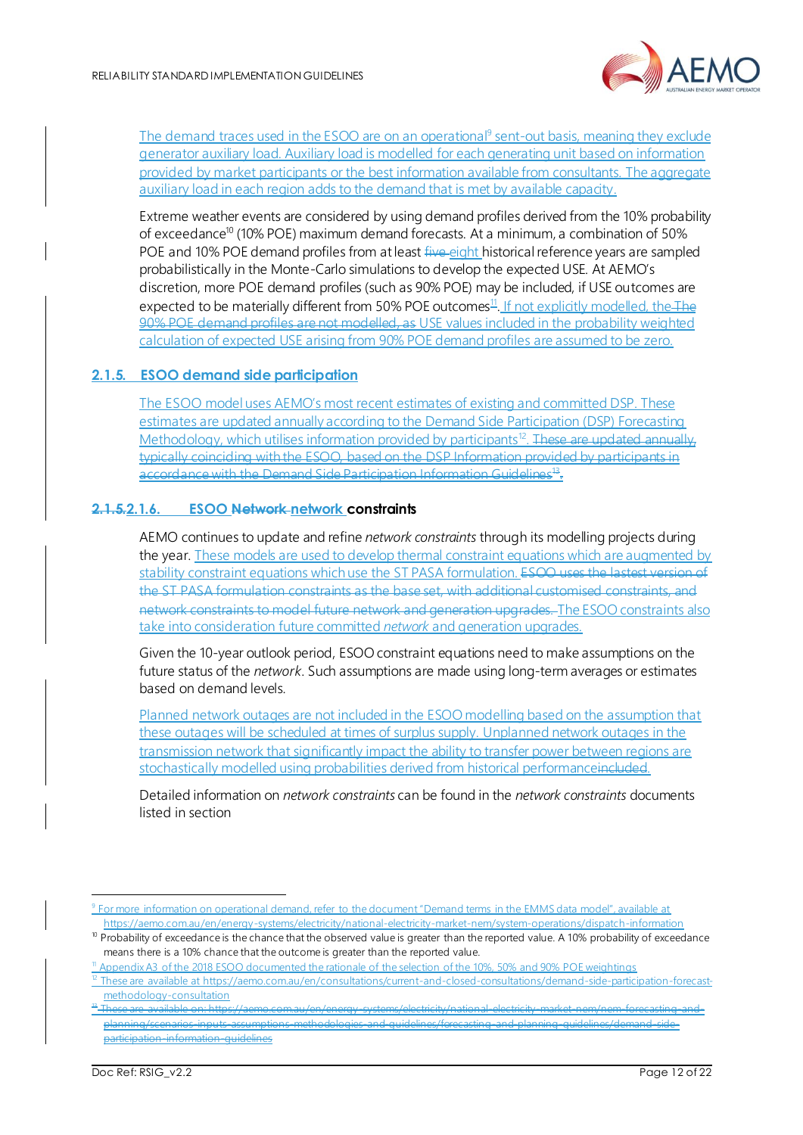

The demand traces used in the ESOO are on an operational<sup>9</sup> sent-out basis, meaning they exclude generator auxiliary load. Auxiliary load is modelled for each generating unit based on information provided by market participants or the best information available from consultants. The aggregate auxiliary load in each region adds to the demand that is met by available capacity.

Extreme weather events are considered by using demand profiles derived from the 10% probability of exceedance<sup>10</sup> (10% POE) maximum demand forecasts. At a minimum, a combination of 50% POE and 10% POE demand profiles from at least five eight historical reference years are sampled probabilistically in the Monte-Carlo simulations to develop the expected USE. At AEMO's discretion, more POE demand profiles (such as 90% POE) may be included, if USE outcomes are expected to be materially different from 50% POE outcomes<sup>11</sup>. If not explicitly modelled, the The 90% POE demand profiles are not modelled, as USE values included in the probability weighted calculation of expected USE arising from 90% POE demand profiles are assumed to be zero.

#### **2.1.5. ESOO demand side participation**

The ESOO model uses AEMO's most recent estimates of existing and committed DSP. These estimates are updated annually according to the Demand Side Participation (DSP) Forecasting Methodology, which utilises information provided by participants<sup>12</sup>. These are updated annually, typically coinciding with the ESOO, based on the DSP Information provided by participants in accordance with the Demand Side Participation Information Guidelines<sup>43</sup>:

#### **2.1.5.2.1.6. ESOO Network network constraints**

AEMO continues to update and refine *network constraints* through its modelling projects during the year. These models are used to develop thermal constraint equations which are augmented by stability constraint equations which use the ST PASA formulation. ESOO uses the lastest version of the ST PASA formulation constraints as the base set, with additional customised constraints, and network constraints to model future network and generation upgrades. The ESOO constraints also take into consideration future committed *network* and generation upgrades.

Given the 10-year outlook period, ESOO constraint equations need to make assumptions on the future status of the *network*. Such assumptions are made using long-term averages or estimates based on demand levels.

Planned network outages are not included in the ESOO modelling based on the assumption that these outages will be scheduled at times of surplus supply. Unplanned network outages in the transmission network that significantly impact the ability to transfer power between regions are stochastically modelled using probabilities derived from historical performanceincluded.

Detailed information on *network constraints* can be found in the *network constraints* documents listed in section

<sup>&</sup>lt;sup>9</sup> For more information on operational demand, refer to the document "Demand terms in the EMMS data model", available at <https://aemo.com.au/en/energy-systems/electricity/national-electricity-market-nem/system-operations/dispatch-information>

<sup>&</sup>lt;sup>10</sup> Probability of exceedance is the chance that the observed value is greater than the reported value. A 10% probability of exceedance means there is a 10% chance that the outcome is greater than the reported value.

Appendix A3 of the 2018 ESOO documented the rationale of the selection of the 10%, 50% and 90% POE weightings

<sup>&</sup>lt;sup>12</sup> These are available a[t https://aemo.com.au/en/consultations/current-and-closed-consultations/demand-side-participation-forecast](https://aemo.com.au/en/consultations/current-and-closed-consultations/demand-side-participation-forecast-methodology-consultation)[methodology-consultation](https://aemo.com.au/en/consultations/current-and-closed-consultations/demand-side-participation-forecast-methodology-consultation)

<sup>13</sup> These are available on: https://aemo.com.au/en/energy-systems/electricity/national-electricity-market-nem/nem-forecasting-andplanning/scenarios-inputs-assumptions-methodologies-and-guidelines/forecasting-and-planning-guidelines/demand-sideparticipation-information-guidelines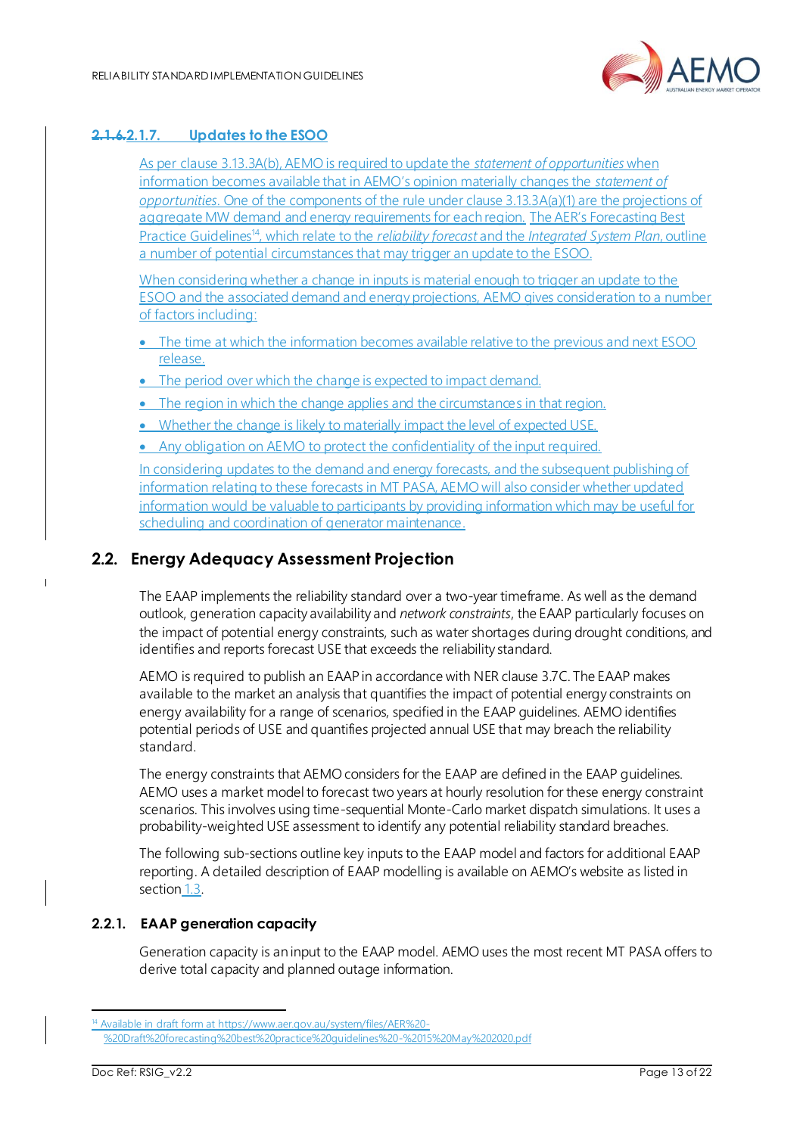

### **2.1.6.2.1.7. Updates to the ESOO**

As per clause 3.13.3A(b), AEMO is required to update the *statement of opportunities* when information becomes available that in AEMO's opinion materially changes the *statement of opportunities*. One of the components of the rule under clause 3.13.3A(a)(1) are the projections of aggregate MW demand and energy requirements for each region. The AER's Forecasting Best Practice Guidelines<sup>14</sup>, which relate to the *reliability forecast* and the *Integrated System Plan*, outline a number of potential circumstances that may trigger an update to the ESOO.

When considering whether a change in inputs is material enough to trigger an update to the ESOO and the associated demand and energy projections, AEMO gives consideration to a number of factors including:

- The time at which the information becomes available relative to the previous and next ESOO release.
- The period over which the change is expected to impact demand.
- The region in which the change applies and the circumstances in that region.
- Whether the change is likely to materially impact the level of expected USE.
- Any obligation on AEMO to protect the confidentiality of the input required.

In considering updates to the demand and energy forecasts, and the subsequent publishing of information relating to these forecasts in MT PASA, AEMO will also consider whether updated information would be valuable to participants by providing information which may be useful for scheduling and coordination of generator maintenance.

## <span id="page-12-0"></span>**2.2. Energy Adequacy Assessment Projection**

The EAAP implements the reliability standard over a two-year timeframe. As well as the demand outlook, generation capacity availability and *network constraints*, the EAAP particularly focuses on the impact of potential energy constraints, such as water shortages during drought conditions, and identifies and reports forecast USE that exceeds the reliability standard.

AEMO is required to publish an EAAP in accordance with NER clause 3.7C. The EAAP makes available to the market an analysis that quantifies the impact of potential energy constraints on energy availability for a range of scenarios, specified in the EAAP guidelines. AEMO identifies potential periods of USE and quantifies projected annual USE that may breach the reliability standard.

The energy constraints that AEMO considers for the EAAP are defined in the EAAP guidelines. AEMO uses a market model to forecast two years at hourly resolution for these energy constraint scenarios. This involves using time-sequential Monte-Carlo market dispatch simulations. It uses a probability-weighted USE assessment to identify any potential reliability standard breaches.

The following sub-sections outline key inputs to the EAAP model and factors for additional EAAP reporting. A detailed description of EAAP modelling is available on AEMO's website as listed in section [1.3.](#page-4-0)

#### **2.2.1. EAAP generation capacity**

Generation capacity is an input to the EAAP model. AEMO uses the most recent MT PASA offers to derive total capacity and planned outage information.

<sup>&</sup>lt;sup>1</sup> Available in draft form at [https://www.aer.gov.au/system/files/AER%20-](https://www.aer.gov.au/system/files/AER%20-%20Draft%20forecasting%20best%20practice%20guidelines%20-%2015%20May%202020.pdf)

[<sup>%20</sup>Draft%20forecasting%20best%20practice%20guidelines%20-%2015%20May%202020.pdf](https://www.aer.gov.au/system/files/AER%20-%20Draft%20forecasting%20best%20practice%20guidelines%20-%2015%20May%202020.pdf)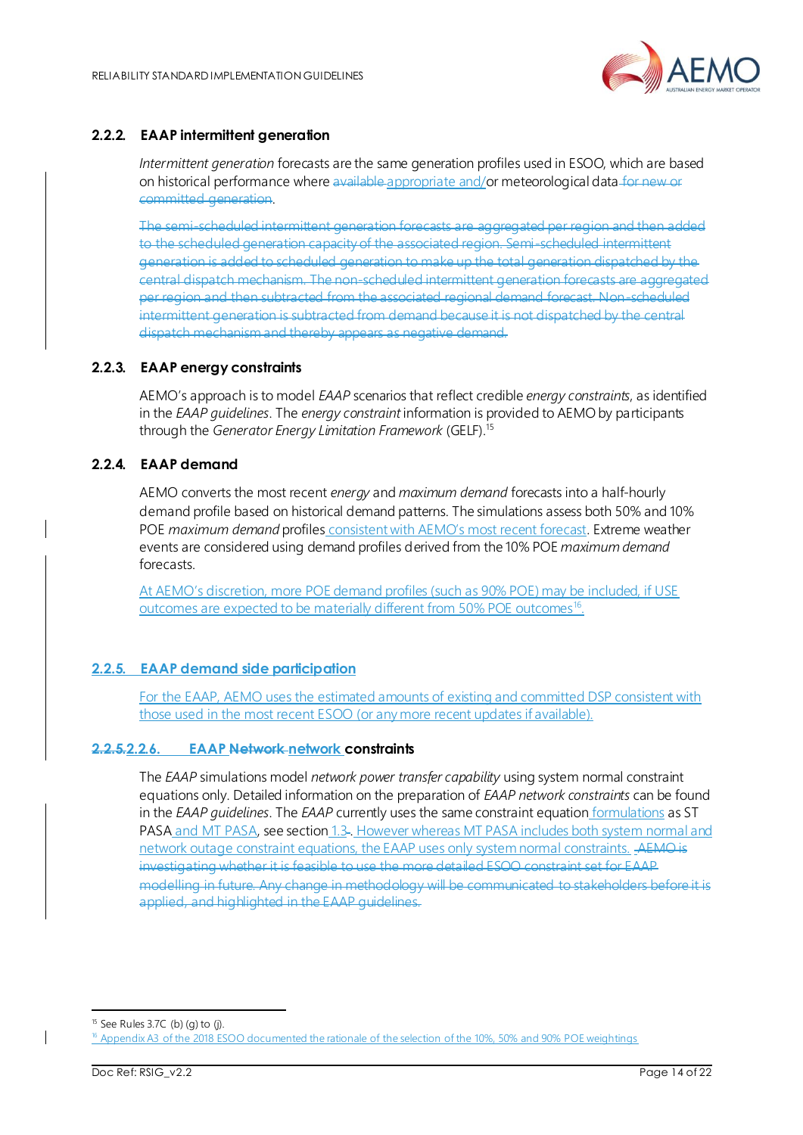

### **2.2.2. EAAP intermittent generation**

*Intermittent generation* forecasts are the same generation profiles used in ESOO, which are based on historical performance where available appropriate and/or meteorological data for new or committed generation.

The semi-scheduled intermittent generation forecasts to the scheduled generation capacity of the associated region. Semi-scheduled inte generation is added to scheduled generation to make up the total generation dispatched by the central dispatch mechanism. The non-scheduled intermittent generation for per region and then subtracted from the associated regional demand forecast. Non-sched intermittent generation is subtracted from demand because it is not dispatched by the central dispatch mechanism and thereby appears as negative demand.

#### **2.2.3. EAAP energy constraints**

AEMO's approach is to model *EAAP* scenarios that reflect credible *energy constraints*, as identified in the *EAAP guidelines*. The *energy constraint* information is provided to AEMO by participants through the *Generator Energy Limitation Framework* (GELF).<sup>15</sup>

#### **2.2.4. EAAP demand**

AEMO converts the most recent *energy* and *maximum demand* forecasts into a half-hourly demand profile based on historical demand patterns. The simulations assess both 50% and 10% POE *maximum demand* profiles consistent with AEMO's most recent forecast. Extreme weather events are considered using demand profiles derived from the 10% POE *maximum demand* forecasts.

At AEMO's discretion, more POE demand profiles (such as 90% POE) may be included, if USE outcomes are expected to be materially different from 50% POE outcomes<sup>16</sup>.

## **2.2.5. EAAP demand side participation**

For the EAAP, AEMO uses the estimated amounts of existing and committed DSP consistent with those used in the most recent ESOO (or any more recent updates if available).

#### **2.2.5.2.2.6. EAAP Network network constraints**

The *EAAP* simulations model *network power transfer capability* using system normal constraint equations only. Detailed information on the preparation of *EAAP network constraints* can be found in the *EAAP guidelines*. The *EAAP* currently uses the same constraint equation formulations as ST PASA and MT PASA, see section [1.3](#page-4-0)-. However whereas MT PASA includes both system normal and network outage constraint equations, the EAAP uses only system normal constraints. AEMO is investigating whether it is feasible to use the more detailed ESOO constraint set for EAAP modelling in future. Any change in methodology will be communicated to stakeholders before it is applied, and highlighted in the EAAP guidelines.

 $15$  See Rules 3.7C (b) (g) to (j).

<sup>&</sup>lt;sup>16</sup> Appendix A3 of the 2018 ESOO documented the rationale of the selection of the 10%, 50% and 90% POE weightings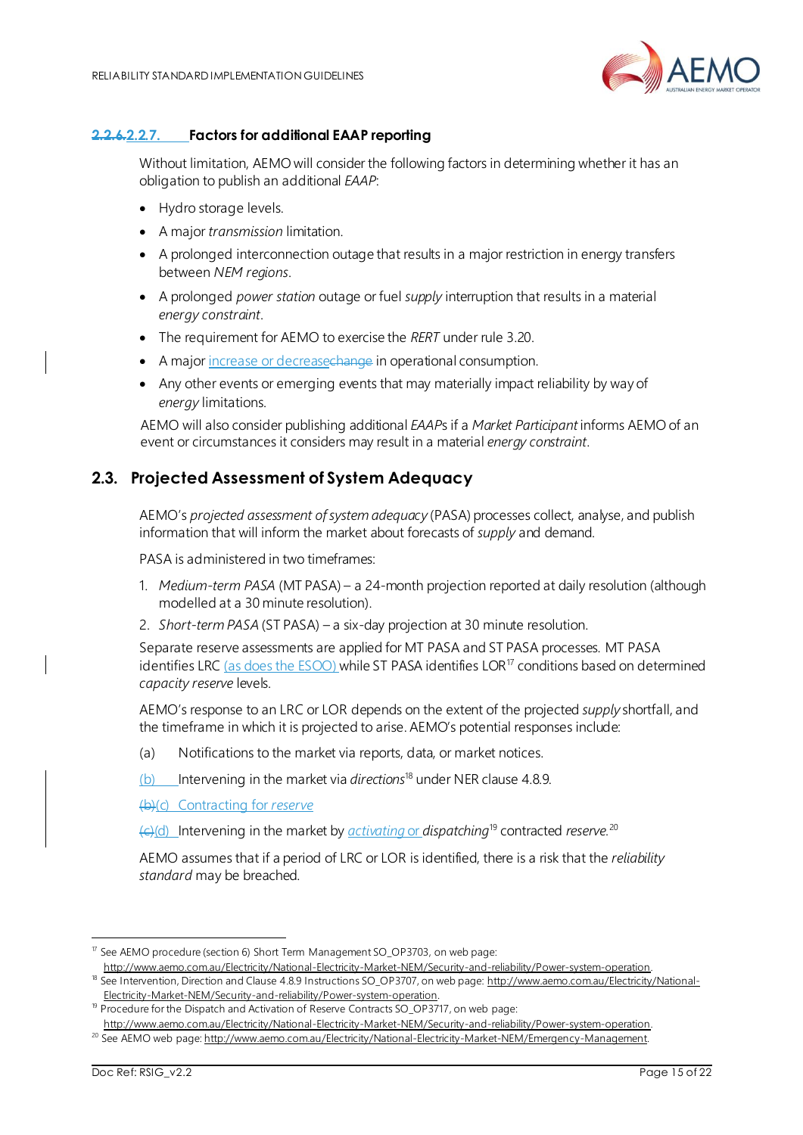

#### **2.2.6.2.2.7. Factors for additional EAAP reporting**

Without limitation, AEMO will consider the following factors in determining whether it has an obligation to publish an additional *EAAP*:

- Hydro storage levels.
- A major *transmission* limitation.
- A prolonged interconnection outage that results in a major restriction in energy transfers between *NEM regions*.
- A prolonged *power station* outage or fuel *supply* interruption that results in a material *energy constraint*.
- The requirement for AEMO to exercise the *RERT* under rule 3.20.
- A major increase or decreasechange in operational consumption.
- Any other events or emerging events that may materially impact reliability by way of *energy* limitations.

AEMO will also consider publishing additional *EAAP*s if a *Market Participant* informs AEMO of an event or circumstances it considers may result in a material *energy constraint*.

## <span id="page-14-0"></span>**2.3. Projected Assessment of System Adequacy**

AEMO's *projected assessment of system adequacy* (PASA) processes collect, analyse, and publish information that will inform the market about forecasts of *supply* and demand.

PASA is administered in two timeframes:

- 1. *Medium-term PASA* (MT PASA) a 24-month projection reported at daily resolution (although modelled at a 30 minute resolution).
- 2. *Short-term PASA* (ST PASA) a six-day projection at 30 minute resolution.

Separate reserve assessments are applied for MT PASA and ST PASA processes. MT PASA identifies LRC (as does the  $ESOO$ ) while ST PASA identifies LOR<sup>17</sup> conditions based on determined *capacity reserve* levels.

AEMO's response to an LRC or LOR depends on the extent of the projected *supply* shortfall, and the timeframe in which it is projected to arise. AEMO's potential responses include:

(a) Notifications to the market via reports, data, or market notices.

(b) Intervening in the market via *directions*<sup>18</sup> under NER clause 4.8.9.

(b)(c) Contracting for *reserve*

(c)(d) Intervening in the market by *activating* or *dispatching*<sup>19</sup> contracted *reserve.*<sup>20</sup>

AEMO assumes that if a period of LRC or LOR is identified, there is a risk that the *reliability standard* may be breached.

<sup>17</sup> See AEMO procedure (section 6) Short Term Management SO\_OP3703, on web page:

[http://www.aemo.com.au/Electricity/National-Electricity-Market-NEM/Security-and-reliability/Power-system-operation.](http://www.aemo.com.au/Electricity/National-Electricity-Market-NEM/Security-and-reliability/Power-system-operation) 18 See Intervention, Direction and Clause 4.8.9 Instructions SO\_OP3707, on web page: [http://www.aemo.com.au/Electricity/National-](http://www.aemo.com.au/Electricity/National-Electricity-Market-NEM/Security-and-reliability/Power-system-operation)[Electricity-Market-NEM/Security-and-reliability/Power-system-operation.](http://www.aemo.com.au/Electricity/National-Electricity-Market-NEM/Security-and-reliability/Power-system-operation)

<sup>&</sup>lt;sup>19</sup> Procedure for the Dispatch and Activation of Reserve Contracts SO\_OP3717, on web page:

[http://www.aemo.com.au/Electricity/National-Electricity-Market-NEM/Security-and-reliability/Power-system-operation.](http://www.aemo.com.au/Electricity/National-Electricity-Market-NEM/Security-and-reliability/Power-system-operation) <sup>20</sup> See AEMO web page: [http://www.aemo.com.au/Electricity/National-Electricity-Market-NEM/Emergency-Management.](http://www.aemo.com.au/Electricity/National-Electricity-Market-NEM/Emergency-Management)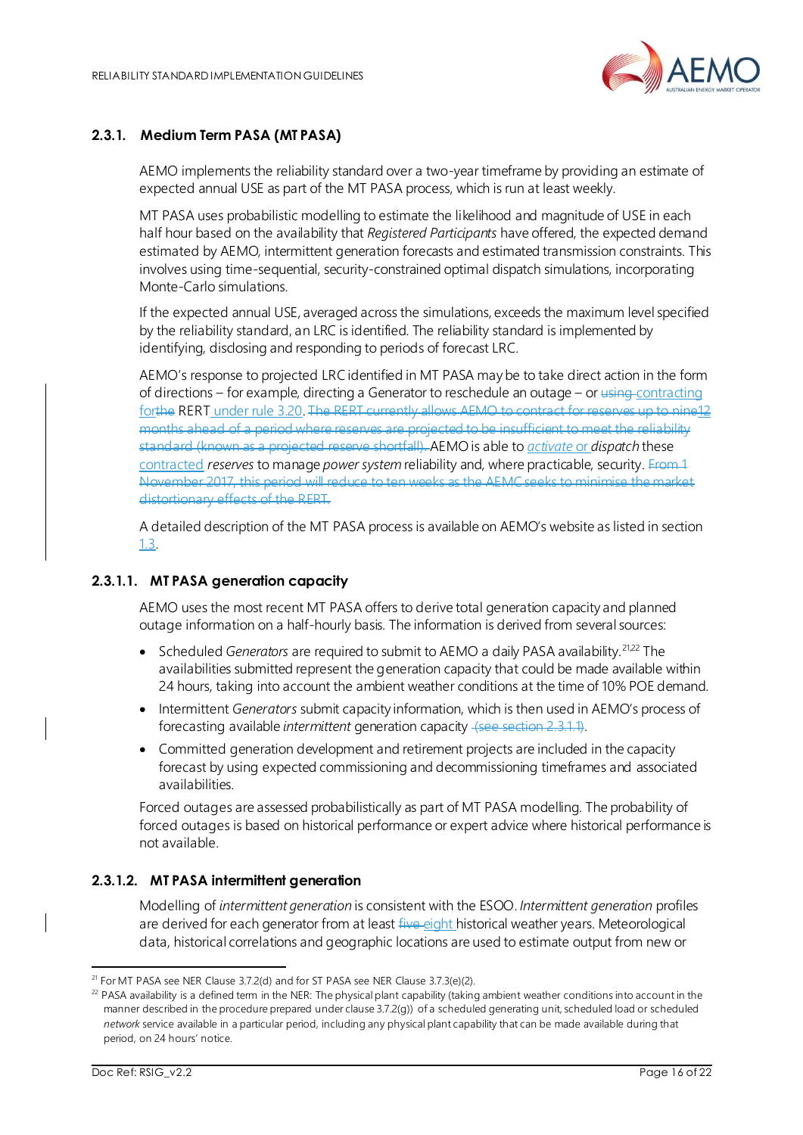

#### **2.3.1. Medium Term PASA (MT PASA)**

AEMO implements the reliability standard over a two-year timeframe by providing an estimate of expected annual USE as part of the MT PASA process, which is run at least weekly.

MT PASA uses probabilistic modelling to estimate the likelihood and magnitude of USE in each half hour based on the availability that *Registered Participants* have offered, the expected demand estimated by AEMO, intermittent generation forecasts and estimated transmission constraints. This involves using time-sequential, security-constrained optimal dispatch simulations, incorporating Monte-Carlo simulations.

If the expected annual USE, averaged across the simulations, exceeds the maximum level specified by the reliability standard, an LRC is identified. The reliability standard is implemented by identifying, disclosing and responding to periods of forecast LRC.

AEMO's response to projected LRC identified in MT PASA may be to take direct action in the form of directions – for example, directing a Generator to reschedule an outage – or using contracting forthe RERT under rule 3.20. The RERT currently allows AEMO to contract for reserves up to nine12 months ahead of a period where reserves are projected to be insufficient to meet the reliability standard (known as a projected reserve shortfall). AEMO is able to *activate* or *dispatch* these contracted *reserves* to manage *power system* reliability and, where practicable, security. From 1 November 2017, this period will reduce to ten weeks as the AEMC seeks to minimise the distortionary effects of the RERT.

A detailed description of the MT PASA process is available on AEMO's website as listed in section [1.3.](#page-4-0)

#### **2.3.1.1. MT PASA generation capacity**

AEMO uses the most recent MT PASA offers to derive total generation capacity and planned outage information on a half-hourly basis. The information is derived from several sources:

- Scheduled *Generators* are required to submit to AEMO a daily PASA availability.<sup>21,22</sup> The availabilities submitted represent the generation capacity that could be made available within 24 hours, taking into account the ambient weather conditions at the time of 10% POE demand.
- Intermittent *Generators* submit capacity information, which is then used in AEMO's process of forecasting available *intermittent* generation capacity (see section 2.3.1.1).
- Committed generation development and retirement projects are included in the capacity forecast by using expected commissioning and decommissioning timeframes and associated availabilities.

Forced outages are assessed probabilistically as part of MT PASA modelling. The probability of forced outages is based on historical performance or expert advice where historical performance is not available.

#### **2.3.1.2. MT PASA intermittent generation**

Modelling of *intermittent generation* is consistent with the ESOO. *Intermittent generation* profiles are derived for each generator from at least five eight historical weather years. Meteorological data, historical correlations and geographic locations are used to estimate output from new or

<sup>&</sup>lt;sup>21</sup> For MT PASA see NER Clause 3.7.2(d) and for ST PASA see NER Clause 3.7.3(e)(2).

 $^{22}$  PASA availability is a defined term in the NER: The physical plant capability (taking ambient weather conditions into account in the manner described in the procedure prepared under clause 3.7.2(g)) of a scheduled generating unit, scheduled load or scheduled *network* service available in a particular period, including any physical plant capability that can be made available during that period, on 24 hours' notice.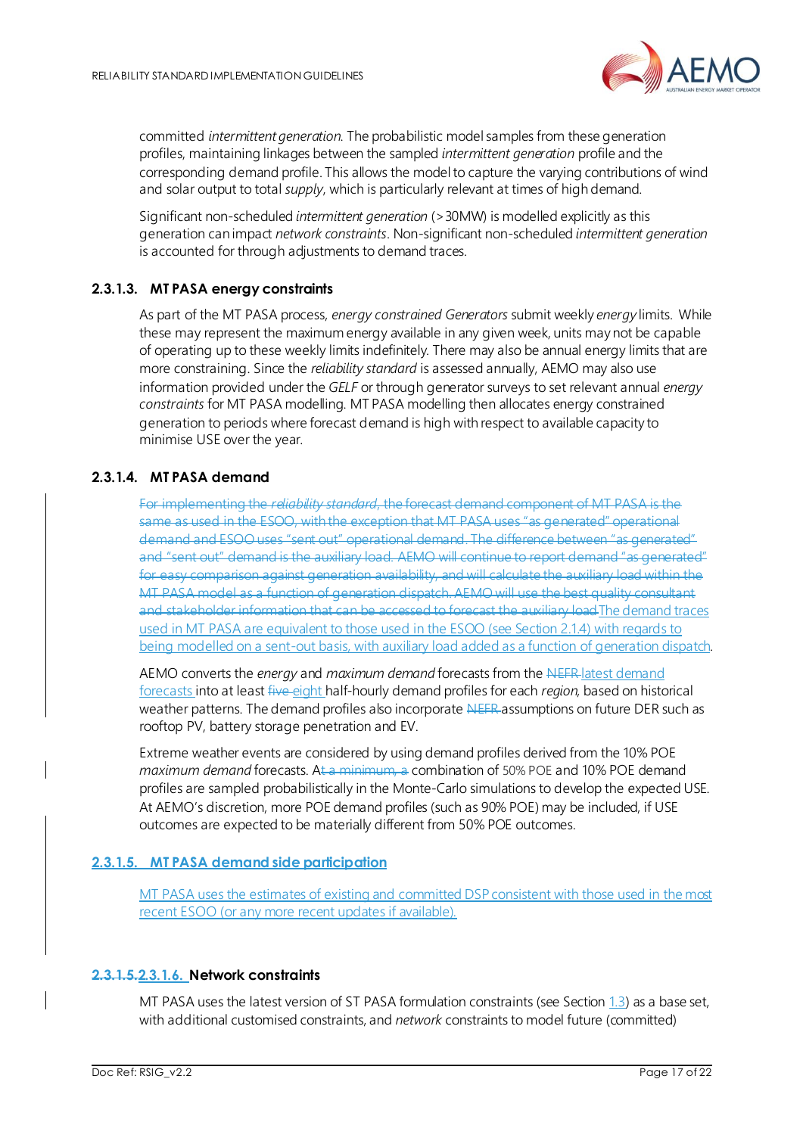

committed *intermittent generation*. The probabilistic model samples from these generation profiles, maintaining linkages between the sampled *intermittent generation* profile and the corresponding demand profile. This allows the model to capture the varying contributions of wind and solar output to total *supply*, which is particularly relevant at times of high demand.

Significant non-scheduled *intermittent generation* (>30MW) is modelled explicitly as this generation can impact *network constraints*. Non-significant non-scheduled *intermittent generation* is accounted for through adjustments to demand traces.

#### **2.3.1.3. MT PASA energy constraints**

As part of the MT PASA process, *energy constrained Generators* submit weekly *energy* limits. While these may represent the maximum energy available in any given week, units may not be capable of operating up to these weekly limits indefinitely. There may also be annual energy limits that are more constraining. Since the *reliability standard* is assessed annually, AEMO may also use information provided under the *GELF* or through generator surveys to set relevant annual *energy constraints* for MT PASA modelling. MT PASA modelling then allocates energy constrained generation to periods where forecast demand is high with respect to available capacity to minimise USE over the year.

### **2.3.1.4. MT PASA demand**

For implementing the *reliability standard*, the forecast demand component of MT PASA is the same as used in the ESOO, with the exception that MT PASA uses "as generated" operational demand and ESOO uses "sent out" operational demand. The difference between "as generated" and "sent out" demand is the auxiliary load. AEMO will continue to report demand "as generated" easy comparison against generation availability, and will calculate the auxiliary load within the MT PASA model as a function of generation dispatch. AEMO will use the best quality consultant and stakeholder information that can be accessed to forecast the auxiliary loadThe demand traces used in MT PASA are equivalent to those used in the ESOO (see Sectio[n 2.1.4\)](#page-10-0) with regards to being modelled on a sent-out basis, with auxiliary load added as a function of generation dispatch.

AEMO converts the *energy* and *maximum demand* forecasts from the NEFR latest demand forecasts into at least five eight half-hourly demand profiles for each *region*, based on historical weather patterns. The demand profiles also incorporate NEFR assumptions on future DER such as rooftop PV, battery storage penetration and EV.

Extreme weather events are considered by using demand profiles derived from the 10% POE *maximum demand* forecasts. At a minimum, a combination of 50% POE and 10% POE demand profiles are sampled probabilistically in the Monte-Carlo simulations to develop the expected USE. At AEMO's discretion, more POE demand profiles (such as 90% POE) may be included, if USE outcomes are expected to be materially different from 50% POE outcomes.

#### **2.3.1.5. MT PASA demand side participation**

MT PASA uses the estimates of existing and committed DSP consistent with those used in the most recent ESOO (or any more recent updates if available).

#### **2.3.1.5.2.3.1.6. Network constraints**

MT PASA uses the latest version of ST PASA formulation constraints (see Sectio[n 1.3](#page-4-0)) as a base set, with additional customised constraints, and *network* constraints to model future (committed)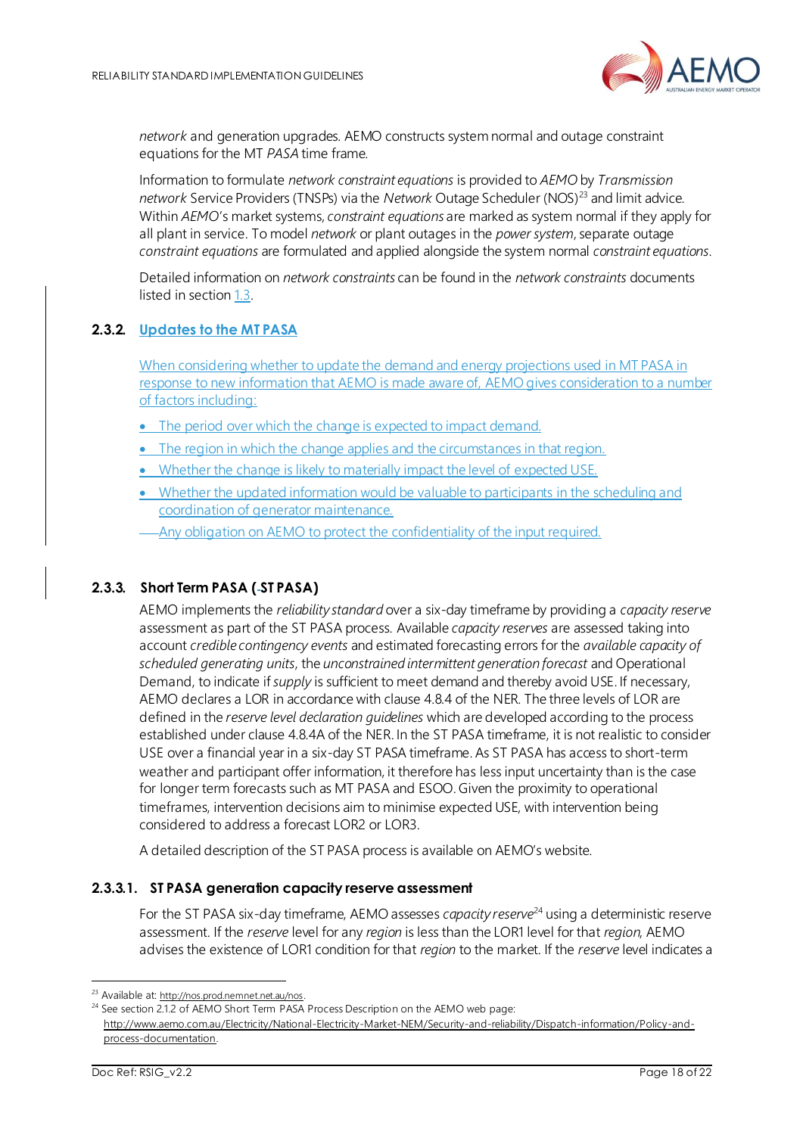

*network* and generation upgrades. AEMO constructs system normal and outage constraint equations for the MT *PASA* time frame.

Information to formulate *network constraint equations* is provided to *AEMO* by *Transmission network* Service Providers (TNSPs) via the *Network* Outage Scheduler (NOS)<sup>23</sup> and limit advice. Within *AEMO*'s market systems, *constraint equations* are marked as system normal if they apply for all plant in service. To model *network* or plant outages in the *power system*, separate outage *constraint equations* are formulated and applied alongside the system normal *constraint equations*.

Detailed information on *network constraints* can be found in the *network constraints* documents listed in sectio[n 1.3.](#page-4-0)

#### **2.3.2. Updates to the MT PASA**

When considering whether to update the demand and energy projections used in MT PASA in response to new information that AEMO is made aware of, AEMO gives consideration to a number of factors including:

- The period over which the change is expected to impact demand.
- The region in which the change applies and the circumstances in that region.
- Whether the change is likely to materially impact the level of expected USE.
- Whether the updated information would be valuable to participants in the scheduling and coordination of generator maintenance.
- Any obligation on AEMO to protect the confidentiality of the input required.

#### **2.3.3. Short Term PASA ( ST PASA)**

AEMO implements the *reliability standard* over a six-day timeframe by providing a *capacity reserve* assessment as part of the ST PASA process. Available *capacity reserves* are assessed taking into account *credible contingency events* and estimated forecasting errors for the *available capacity of scheduled generating units*, the *unconstrained intermittent generation forecast* and Operational Demand, to indicate if *supply* is sufficient to meet demand and thereby avoid USE. If necessary, AEMO declares a LOR in accordance with clause 4.8.4 of the NER. The three levels of LOR are defined in the *reserve level declaration guidelines* which are developed according to the process established under clause 4.8.4A of the NER. In the ST PASA timeframe, it is not realistic to consider USE over a financial year in a six-day ST PASA timeframe. As ST PASA has access to short-term weather and participant offer information, it therefore has less input uncertainty than is the case for longer term forecasts such as MT PASA and ESOO. Given the proximity to operational timeframes, intervention decisions aim to minimise expected USE, with intervention being considered to address a forecast LOR2 or LOR3.

A detailed description of the ST PASA process is available on AEMO's website.

#### **2.3.3.1. ST PASA generation capacity reserve assessment**

For the ST PASA six-day timeframe, AEMO assesses *capacity reserve*<sup>24</sup> using a deterministic reserve assessment. If the *reserve* level for any *region* is less than the LOR1 level for that *region*, AEMO advises the existence of LOR1 condition for that *region* to the market. If the *reserve* level indicates a

<sup>&</sup>lt;sup>23</sup> Available at: <http://nos.prod.nemnet.net.au/nos>.

<sup>&</sup>lt;sup>24</sup> See section 2.1.2 of AEMO Short Term PASA Process Description on the AEMO web page: [http://www.aemo.com.au/Electricity/National-Electricity-Market-NEM/Security-and-reliability/Dispatch-information/Policy-and](http://www.aemo.com.au/Electricity/National-Electricity-Market-NEM/Security-and-reliability/Dispatch-information/Policy-and-process-documentation)[process-documentation.](http://www.aemo.com.au/Electricity/National-Electricity-Market-NEM/Security-and-reliability/Dispatch-information/Policy-and-process-documentation)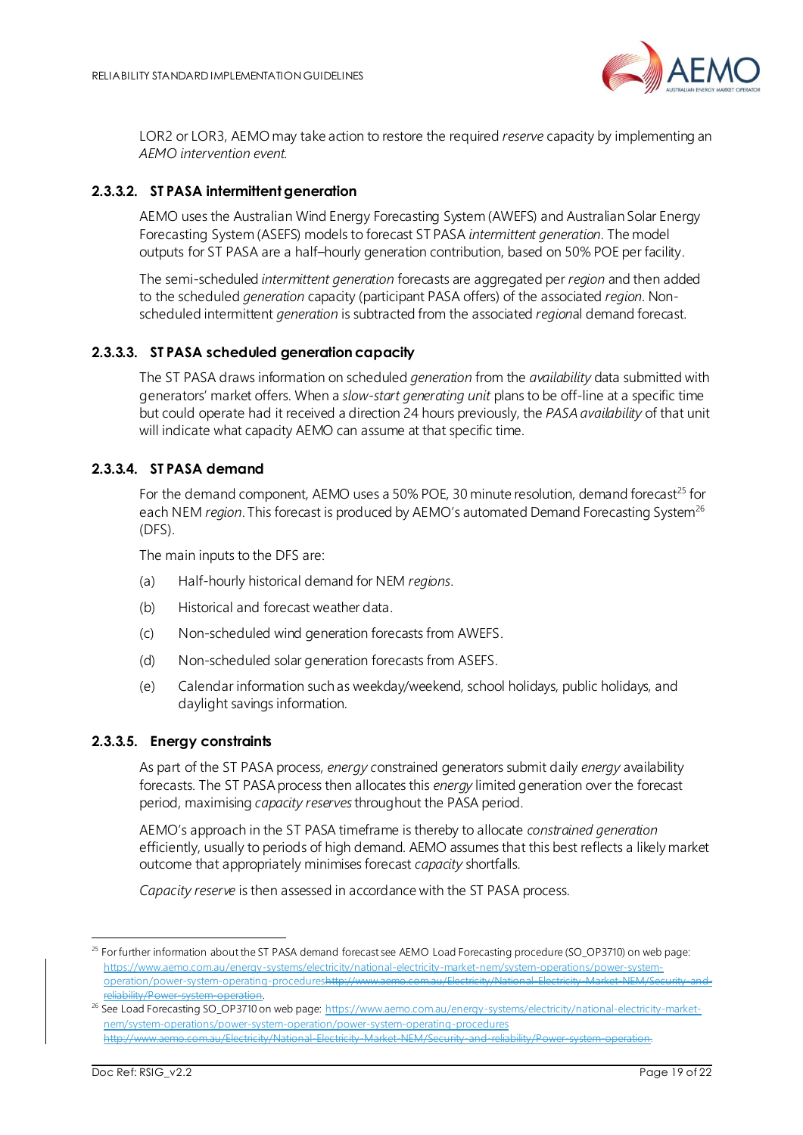

LOR2 or LOR3, AEMO may take action to restore the required *reserve* capacity by implementing an *AEMO intervention event*.

#### **2.3.3.2. ST PASA intermittent generation**

AEMO uses the Australian Wind Energy Forecasting System (AWEFS) and Australian Solar Energy Forecasting System (ASEFS) models to forecast ST PASA *intermittent generation*. The model outputs for ST PASA are a half–hourly generation contribution, based on 50% POE per facility.

The semi-scheduled *intermittent generation* forecasts are aggregated per *region* and then added to the scheduled *generation* capacity (participant PASA offers) of the associated *region*. Nonscheduled intermittent *generation* is subtracted from the associated *region*al demand forecast.

#### **2.3.3.3. ST PASA scheduled generation capacity**

The ST PASA draws information on scheduled *generation* from the *availability* data submitted with generators' market offers. When a *slow-start generating unit* plans to be off-line at a specific time but could operate had it received a direction 24 hours previously, the *PASA availability* of that unit will indicate what capacity AEMO can assume at that specific time.

#### **2.3.3.4. ST PASA demand**

For the demand component, AEMO uses a 50% POE, 30 minute resolution, demand forecast<sup>25</sup> for each NEM *region*. This forecast is produced by AEMO's automated Demand Forecasting System<sup>26</sup> (DFS).

The main inputs to the DFS are:

- (a) Half-hourly historical demand for NEM *regions*.
- (b) Historical and forecast weather data.
- (c) Non-scheduled wind generation forecasts from AWEFS.
- (d) Non-scheduled solar generation forecasts from ASEFS.
- (e) Calendar information such as weekday/weekend, school holidays, public holidays, and daylight savings information.

#### **2.3.3.5. Energy constraints**

As part of the ST PASA process, *energy c*onstrained generators submit daily *energy* availability forecasts. The ST PASA process then allocates this *energy* limited generation over the forecast period, maximising *capacity reserves*throughout the PASA period.

AEMO's approach in the ST PASA timeframe is thereby to allocate *constrained generation* efficiently, usually to periods of high demand. AEMO assumes that this best reflects a likely market outcome that appropriately minimises forecast *capacity* shortfalls.

*Capacity reserve* is then assessed in accordance with the ST PASA process.

<sup>&</sup>lt;sup>25</sup> For further information about the ST PASA demand forecast see AEMO Load Forecasting procedure (SO\_OP3710) on web page: [https://www.aemo.com.au/energy-systems/electricity/national-electricity-market-nem/system-operations/power-system](https://www.aemo.com.au/energy-systems/electricity/national-electricity-market-nem/system-operations/power-system-operation/power-system-operating-procedures)[operation/power-system-operating-proceduresh](https://www.aemo.com.au/energy-systems/electricity/national-electricity-market-nem/system-operations/power-system-operation/power-system-operating-procedures)ttp://www.aemo.com.au/Electricity/National-Electricity-Market-NEM/Secu reliability/Power-system-operation.

<sup>&</sup>lt;sup>26</sup> See Load Forecasting SO\_OP3710 on web page: [https://www.aemo.com.au/energy-systems/electricity/national-electricity-market](https://www.aemo.com.au/energy-systems/electricity/national-electricity-market-nem/system-operations/power-system-operation/power-system-operating-procedures)[nem/system-operations/power-system-operation/power-system-operating-procedures](https://www.aemo.com.au/energy-systems/electricity/national-electricity-market-nem/system-operations/power-system-operation/power-system-operating-procedures) http://www.aemo.com.au/Electricity/National-Electricity-Market-NEM/Security-and-reliability/Power-system-operation.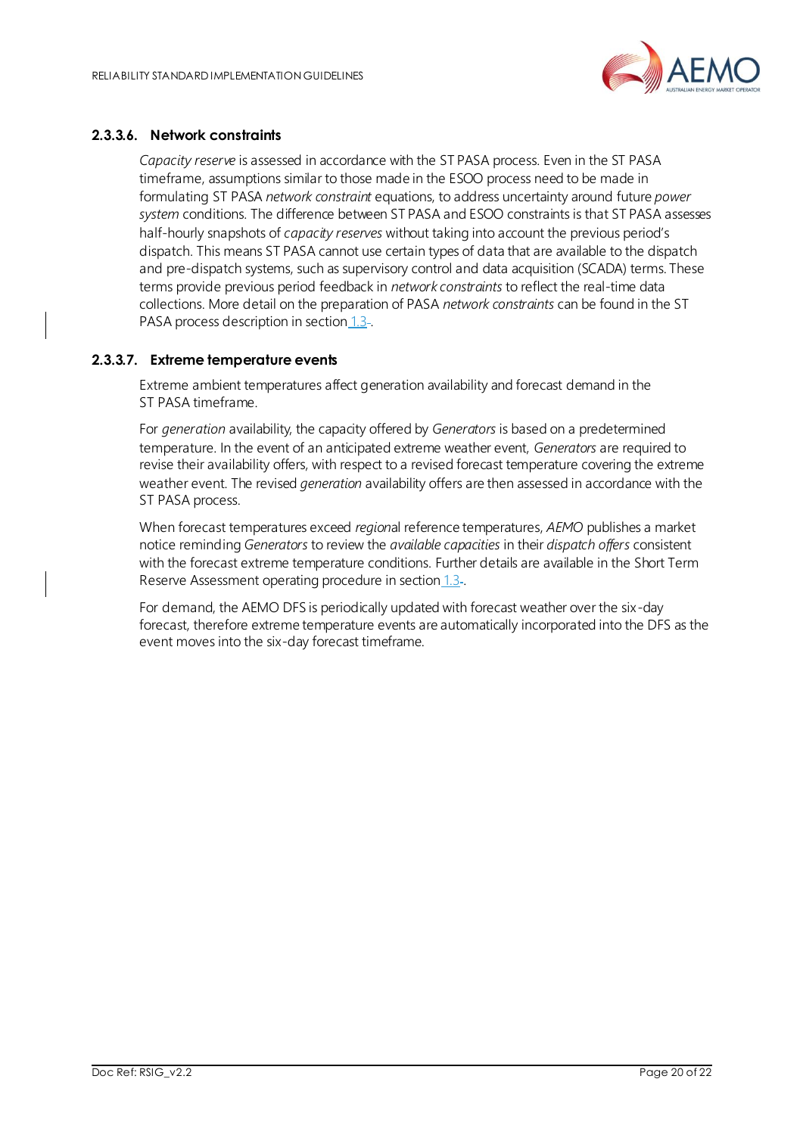

#### **2.3.3.6. Network constraints**

*Capacity reserve* is assessed in accordance with the ST PASA process. Even in the ST PASA timeframe, assumptions similar to those made in the ESOO process need to be made in formulating ST PASA *network constraint* equations, to address uncertainty around future *power system* conditions. The difference between ST PASA and ESOO constraints is that ST PASA assesses half-hourly snapshots of *capacity reserves* without taking into account the previous period's dispatch. This means ST PASA cannot use certain types of data that are available to the dispatch and pre-dispatch systems, such as supervisory control and data acquisition (SCADA) terms. These terms provide previous period feedback in *network constraints* to reflect the real-time data collections. More detail on the preparation of PASA *network constraints* can be found in the ST PASA process description in section [1.3](#page-4-0)-

#### **2.3.3.7. Extreme temperature events**

Extreme ambient temperatures affect generation availability and forecast demand in the ST PASA timeframe.

For *generation* availability, the capacity offered by *Generators* is based on a predetermined temperature. In the event of an anticipated extreme weather event, *Generators* are required to revise their availability offers, with respect to a revised forecast temperature covering the extreme weather event. The revised *generation* availability offers are then assessed in accordance with the ST PASA process.

When forecast temperatures exceed *region*al reference temperatures, *AEMO* publishes a market notice reminding *Generators* to review the *available capacities* in their *dispatch offers* consistent with the forecast extreme temperature conditions. Further details are available in the Short Term Reserve Assessment operating procedure in section [1.3](#page-4-0)-

For demand, the AEMO DFS is periodically updated with forecast weather over the six-day forecast, therefore extreme temperature events are automatically incorporated into the DFS as the event moves into the six-day forecast timeframe.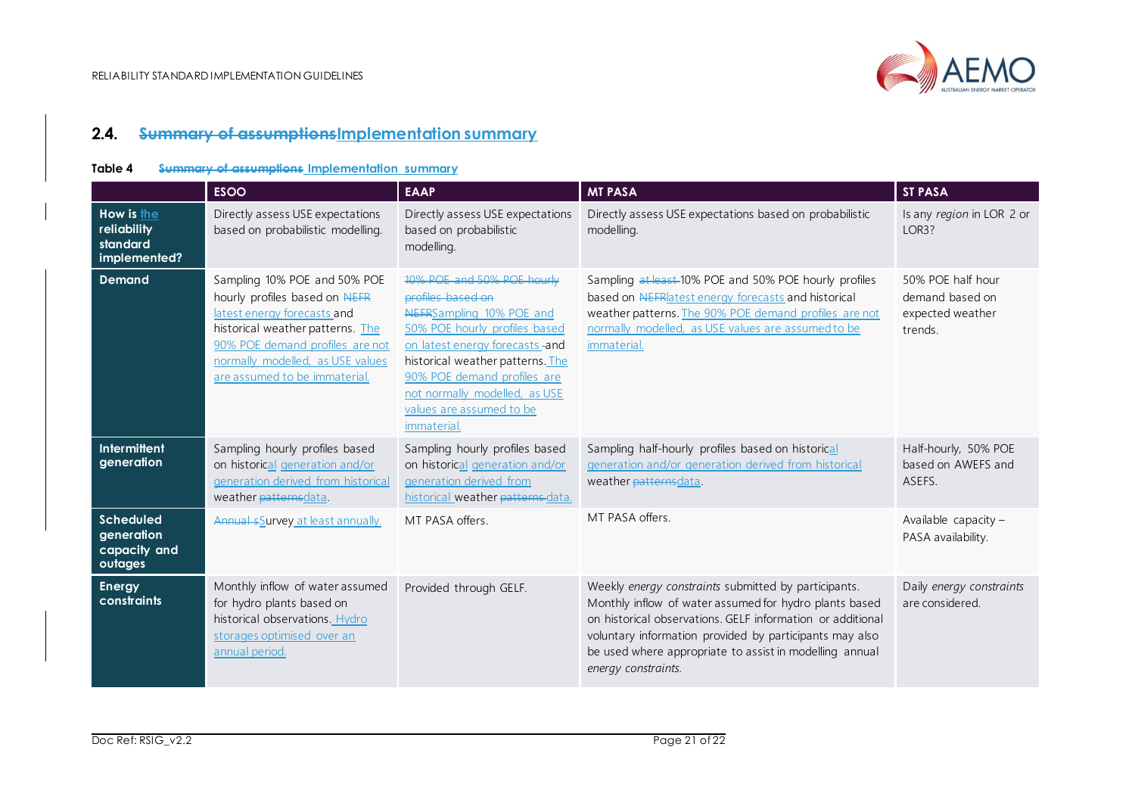

## **2.4. Summary of assumptionsImplementation summary**

#### **Table 4 Summary of assumptions Implementation summary**

<span id="page-20-1"></span><span id="page-20-0"></span>

|                                                           | <b>ESOO</b>                                                                                                                                                                                                                              | <b>EAAP</b>                                                                                                                                                                                                                                                                                           | <b>MT PASA</b>                                                                                                                                                                                                                                                                                                            | <b>ST PASA</b>                                                      |
|-----------------------------------------------------------|------------------------------------------------------------------------------------------------------------------------------------------------------------------------------------------------------------------------------------------|-------------------------------------------------------------------------------------------------------------------------------------------------------------------------------------------------------------------------------------------------------------------------------------------------------|---------------------------------------------------------------------------------------------------------------------------------------------------------------------------------------------------------------------------------------------------------------------------------------------------------------------------|---------------------------------------------------------------------|
| How is the<br>reliability<br>standard<br>implemented?     | Directly assess USE expectations<br>based on probabilistic modelling.                                                                                                                                                                    | Directly assess USE expectations<br>based on probabilistic<br>modelling.                                                                                                                                                                                                                              | Directly assess USE expectations based on probabilistic<br>modelling.                                                                                                                                                                                                                                                     | Is any region in LOR 2 or<br>LOR3?                                  |
| <b>Demand</b>                                             | Sampling 10% POE and 50% POE<br>hourly profiles based on NEFR<br>latest energy forecasts and<br>historical weather patterns. The<br>90% POE demand profiles are not<br>normally modelled, as USE values<br>are assumed to be immaterial. | 10% POE and 50% POE hourly<br>profiles based on<br>NEFRSampling 10% POE and<br>50% POE hourly profiles based<br>on latest energy forecasts -and<br>historical weather patterns. The<br>90% POE demand profiles are<br>not normally modelled, as USE<br>values are assumed to be<br><i>immaterial.</i> | Sampling at least 10% POE and 50% POE hourly profiles<br>based on NEFRIatest energy forecasts and historical<br>weather patterns. The 90% POE demand profiles are not<br>normally modelled, as USE values are assumed to be<br>immaterial.                                                                                | 50% POE half hour<br>demand based on<br>expected weather<br>trends. |
| <b>Intermittent</b><br>generation                         | Sampling hourly profiles based<br>on historical generation and/or<br>generation derived from historical<br>weather patternsdata.                                                                                                         | Sampling hourly profiles based<br>on historical generation and/or<br>generation derived from<br>historical weather patterns-data.                                                                                                                                                                     | Sampling half-hourly profiles based on historical<br>generation and/or generation derived from historical<br>weather patternsdata.                                                                                                                                                                                        | Half-hourly, 50% POE<br>based on AWEFS and<br>ASEFS.                |
| <b>Scheduled</b><br>generation<br>capacity and<br>outages | Annual sSurvey at least annually.                                                                                                                                                                                                        | MT PASA offers.                                                                                                                                                                                                                                                                                       | MT PASA offers.                                                                                                                                                                                                                                                                                                           | Available capacity -<br>PASA availability.                          |
| <b>Energy</b><br><b>constraints</b>                       | Monthly inflow of water assumed<br>for hydro plants based on<br>historical observations. Hydro<br>storages optimised over an<br>annual period.                                                                                           | Provided through GELF.                                                                                                                                                                                                                                                                                | Weekly energy constraints submitted by participants.<br>Monthly inflow of water assumed for hydro plants based<br>on historical observations. GELF information or additional<br>voluntary information provided by participants may also<br>be used where appropriate to assist in modelling annual<br>energy constraints. | Daily energy constraints<br>are considered.                         |